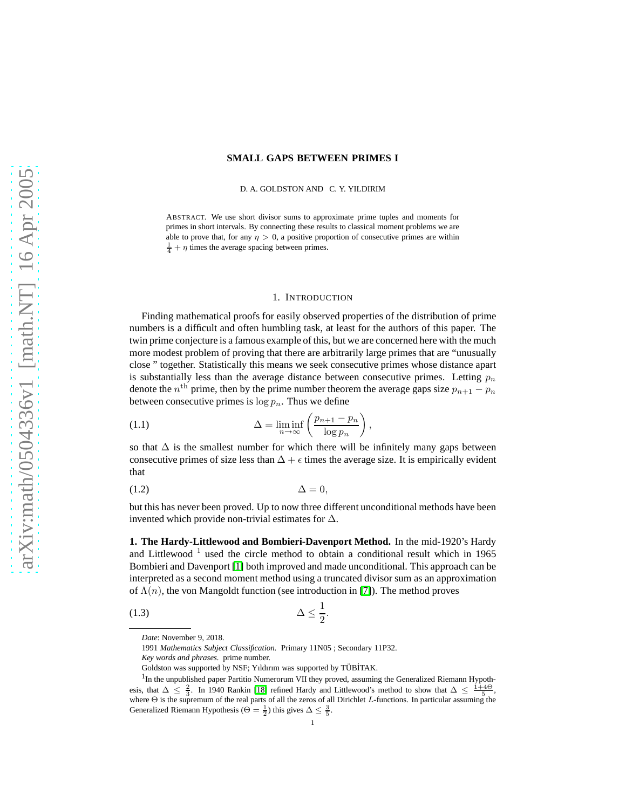### **SMALL GAPS BETWEEN PRIMES I**

D. A. GOLDSTON AND C. Y. YILDIRIM

ABSTRACT. We use short divisor sums to approximate prime tuples and moments for primes in short intervals. By connecting these results to classical moment problems we are able to prove that, for any  $\eta > 0$ , a positive proportion of consecutive primes are within  $\frac{1}{4} + \eta$  times the average spacing between primes.

### 1. INTRODUCTION

Finding mathematical proofs for easily observed properties of the distribution of prime numbers is a difficult and often humbling task, at least for the authors of this paper. The twin prime conjecture is a famous example of this, but we are concerned here with the much more modest problem of proving that there are arbitrarily large primes that are "unusually close " together. Statistically this means we seek consecutive primes whose distance apart is substantially less than the average distance between consecutive primes. Letting  $p_n$ denote the  $n<sup>th</sup>$  prime, then by the prime number theorem the average gaps size  $p_{n+1} - p_n$ between consecutive primes is  $\log p_n$ . Thus we define

(1.1) 
$$
\Delta = \liminf_{n \to \infty} \left( \frac{p_{n+1} - p_n}{\log p_n} \right),
$$

so that  $\Delta$  is the smallest number for which there will be infinitely many gaps between consecutive primes of size less than  $\Delta$  +  $\epsilon$  times the average size. It is empirically evident that

$$
\Delta = 0,
$$

but this has never been proved. Up to now three different unconditional methods have been invented which provide non-trivial estimates for  $\Delta$ .

**1. The Hardy-Littlewood and Bombieri-Davenport Method.** In the mid-1920's Hardy and Littlewood<sup>1</sup> used the circle method to obtain a conditional result which in 1965 Bombieri and Davenport [\[1\]](#page-33-0) both improved and made unconditional. This approach can be interpreted as a second moment method using a truncated divisor sum as an approximation of  $\Lambda(n)$ , the von Mangoldt function (see introduction in [\[7\]](#page-33-1)). The method proves

$$
\Delta \le \frac{1}{2}.
$$

<span id="page-0-0"></span>*Date*: November 9, 2018.

<sup>1991</sup> *Mathematics Subject Classification.* Primary 11N05 ; Secondary 11P32.

*Key words and phrases.* prime number.

Goldston was supported by NSF; Yıldırım was supported by TÜBİTAK.

<sup>&</sup>lt;sup>1</sup>In the unpublished paper Partitio Numerorum VII they proved, assuming the Generalized Riemann Hypothesis, that  $\Delta \leq \frac{2}{3}$ . In 1940 Rankin [\[18\]](#page-33-2) refined Hardy and Littlewood's method to show that  $\Delta \leq \frac{1+4\Theta}{5}$ , where Θ is the supremum of the real parts of all the zeros of all Dirichlet L-functions. In particular assuming the Generalized Riemann Hypothesis ( $\Theta = \frac{1}{2}$ ) this gives  $\Delta \leq \frac{3}{5}$ .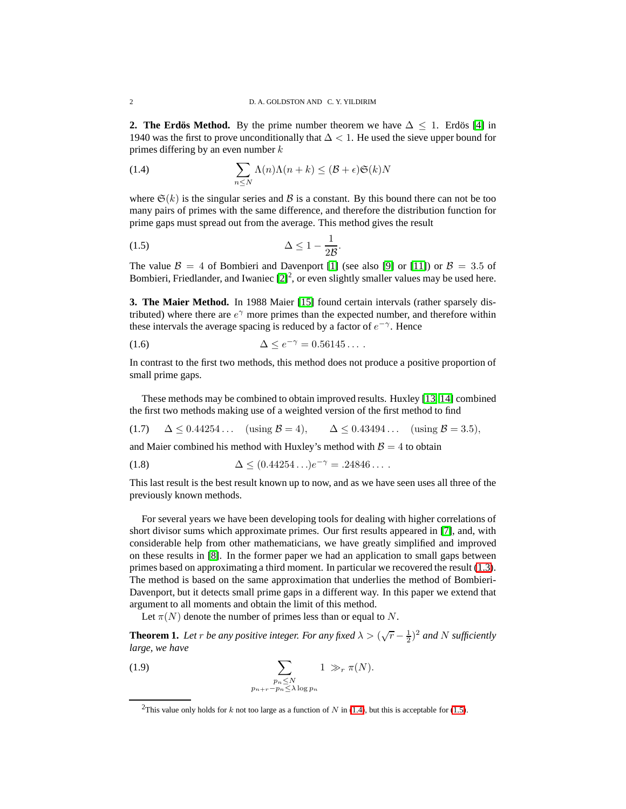<span id="page-1-0"></span>**2. The Erdös Method.** By the prime number theorem we have  $\Delta \leq 1$ . Erdös [\[4\]](#page-33-3) in 1940 was the first to prove unconditionally that  $\Delta$  < 1. He used the sieve upper bound for primes differing by an even number  $k$ 

(1.4) 
$$
\sum_{n \leq N} \Lambda(n)\Lambda(n+k) \leq (\mathcal{B} + \epsilon)\mathfrak{S}(k)N
$$

<span id="page-1-1"></span>where  $\mathfrak{S}(k)$  is the singular series and B is a constant. By this bound there can not be too many pairs of primes with the same difference, and therefore the distribution function for prime gaps must spread out from the average. This method gives the result

$$
\Delta \le 1 - \frac{1}{2\mathcal{B}}.
$$

The value  $\mathcal{B} = 4$  of Bombieri and Davenport [\[1\]](#page-33-0) (see also [\[9\]](#page-33-4) or [\[11\]](#page-33-5)) or  $\mathcal{B} = 3.5$  of Bombieri, Friedlander, and Iwaniec  $[2]^2$  $[2]^2$ , or even slightly smaller values may be used here.

**3. The Maier Method.** In 1988 Maier [\[15\]](#page-33-7) found certain intervals (rather sparsely distributed) where there are  $e^{\gamma}$  more primes than the expected number, and therefore within these intervals the average spacing is reduced by a factor of  $e^{-\gamma}$ . Hence

$$
\Delta \leq e^{-\gamma} = 0.56145\dots.
$$

In contrast to the first two methods, this method does not produce a positive proportion of small prime gaps.

These methods may be combined to obtain improved results. Huxley [\[13,](#page-33-8) [14\]](#page-33-9) combined the first two methods making use of a weighted version of the first method to find

(1.7) 
$$
\Delta \le 0.44254...
$$
 (using  $\mathcal{B} = 4$ ),  $\Delta \le 0.43494...$  (using  $\mathcal{B} = 3.5$ ),

and Maier combined his method with Huxley's method with  $\mathcal{B} = 4$  to obtain

(1.8) 
$$
\Delta \leq (0.44254...)e^{-\gamma} = .24846\ldots.
$$

This last result is the best result known up to now, and as we have seen uses all three of the previously known methods.

For several years we have been developing tools for dealing with higher correlations of short divisor sums which approximate primes. Our first results appeared in [\[7\]](#page-33-1), and, with considerable help from other mathematicians, we have greatly simplified and improved on these results in [\[8\]](#page-33-10). In the former paper we had an application to small gaps between primes based on approximating a third moment. In particular we recovered the result [\(1.3\)](#page-0-0). The method is based on the same approximation that underlies the method of Bombieri-Davenport, but it detects small prime gaps in a different way. In this paper we extend that argument to all moments and obtain the limit of this method.

Let  $\pi(N)$  denote the number of primes less than or equal to N.

**Theorem 1.** Let r be any positive integer. For any fixed  $\lambda > (\sqrt{r} - \frac{1}{2})^2$  and N sufficiently *large, we have*

(1.9) 
$$
\sum_{\substack{p_n \le N \\ p_{n+r} - p_n \le \lambda \log p_n}} 1 \gg_r \pi(N).
$$

<sup>&</sup>lt;sup>2</sup>This value only holds for k not too large as a function of N in [\(1.4\)](#page-1-0), but this is acceptable for [\(1.5\)](#page-1-1).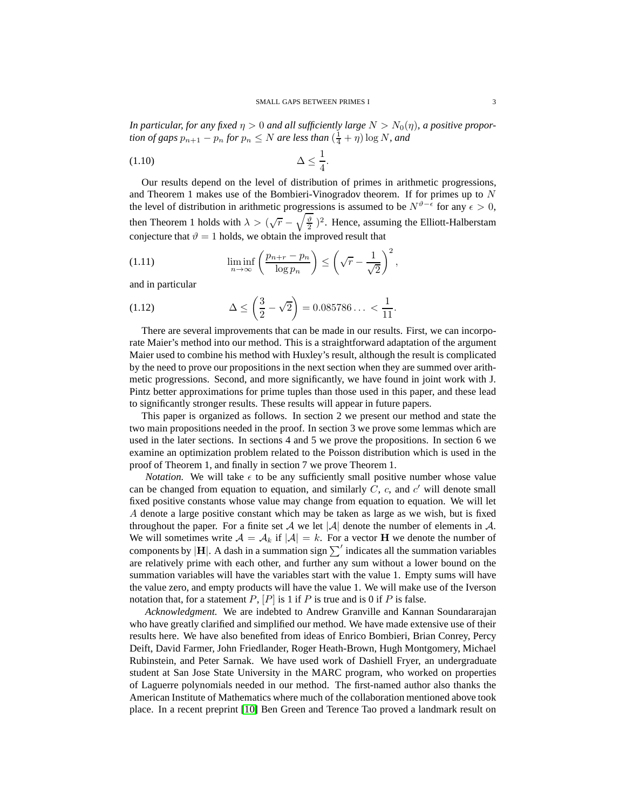<span id="page-2-0"></span>*In particular, for any fixed*  $\eta > 0$  *and all sufficiently large*  $N > N_0(\eta)$ *, a positive proportion of gaps*  $p_{n+1} - p_n$  *for*  $p_n \leq N$  *are less than*  $(\frac{1}{4} + \eta) \log N$ *, and* 

$$
\Delta \le \frac{1}{4}.
$$

Our results depend on the level of distribution of primes in arithmetic progressions, and Theorem 1 makes use of the Bombieri-Vinogradov theorem. If for primes up to N the level of distribution in arithmetic progressions is assumed to be  $N^{\vartheta - \epsilon}$  for any  $\epsilon > 0$ , then Theorem 1 holds with  $\lambda > (\sqrt{r} - \sqrt{\frac{\vartheta}{2}})^2$ . Hence, assuming the Elliott-Halberstam conjecture that  $\vartheta = 1$  holds, we obtain the improved result that

(1.11) 
$$
\liminf_{n \to \infty} \left( \frac{p_{n+r} - p_n}{\log p_n} \right) \leq \left( \sqrt{r} - \frac{1}{\sqrt{2}} \right)^2,
$$

and in particular

(1.12) 
$$
\Delta \le \left(\frac{3}{2} - \sqrt{2}\right) = 0.085786... < \frac{1}{11}.
$$

There are several improvements that can be made in our results. First, we can incorporate Maier's method into our method. This is a straightforward adaptation of the argument Maier used to combine his method with Huxley's result, although the result is complicated by the need to prove our propositions in the next section when they are summed over arithmetic progressions. Second, and more significantly, we have found in joint work with J. Pintz better approximations for prime tuples than those used in this paper, and these lead to significantly stronger results. These results will appear in future papers.

This paper is organized as follows. In section 2 we present our method and state the two main propositions needed in the proof. In section 3 we prove some lemmas which are used in the later sections. In sections 4 and 5 we prove the propositions. In section 6 we examine an optimization problem related to the Poisson distribution which is used in the proof of Theorem 1, and finally in section 7 we prove Theorem 1.

*Notation.* We will take  $\epsilon$  to be any sufficiently small positive number whose value can be changed from equation to equation, and similarly  $C$ ,  $c$ , and  $c'$  will denote small fixed positive constants whose value may change from equation to equation. We will let A denote a large positive constant which may be taken as large as we wish, but is fixed throughout the paper. For a finite set A we let  $|\mathcal{A}|$  denote the number of elements in A. We will sometimes write  $A = A_k$  if  $|A| = k$ . For a vector **H** we denote the number of components by  $|\mathbf{H}|$ . A dash in a summation sign  $\sum'$  indicates all the summation variables are relatively prime with each other, and further any sum without a lower bound on the summation variables will have the variables start with the value 1. Empty sums will have the value zero, and empty products will have the value 1. We will make use of the Iverson notation that, for a statement  $P$ ,  $[P]$  is 1 if  $P$  is true and is 0 if  $P$  is false.

*Acknowledgment.* We are indebted to Andrew Granville and Kannan Soundararajan who have greatly clarified and simplified our method. We have made extensive use of their results here. We have also benefited from ideas of Enrico Bombieri, Brian Conrey, Percy Deift, David Farmer, John Friedlander, Roger Heath-Brown, Hugh Montgomery, Michael Rubinstein, and Peter Sarnak. We have used work of Dashiell Fryer, an undergraduate student at San Jose State University in the MARC program, who worked on properties of Laguerre polynomials needed in our method. The first-named author also thanks the American Institute of Mathematics where much of the collaboration mentioned above took place. In a recent preprint [\[10\]](#page-33-11) Ben Green and Terence Tao proved a landmark result on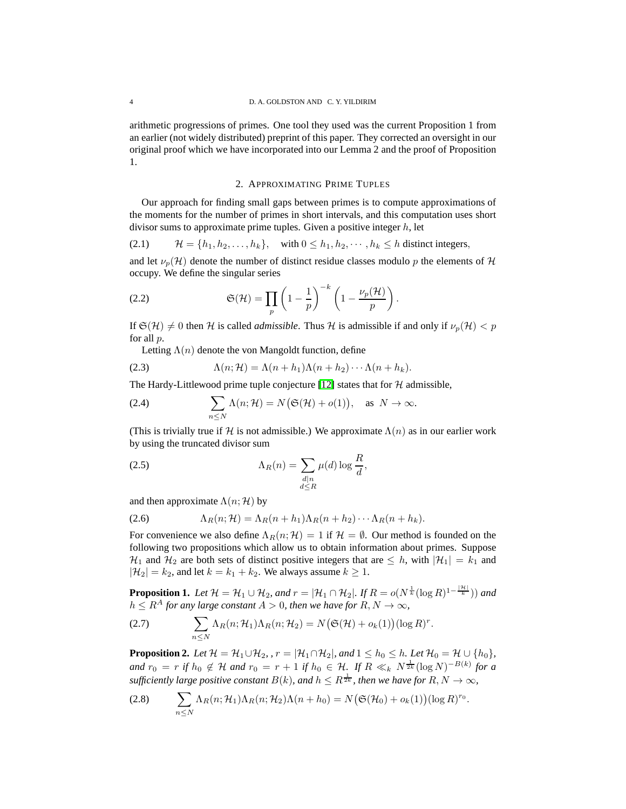arithmetic progressions of primes. One tool they used was the current Proposition 1 from an earlier (not widely distributed) preprint of this paper. They corrected an oversight in our original proof which we have incorporated into our Lemma 2 and the proof of Proposition 1.

#### <span id="page-3-2"></span><span id="page-3-1"></span>2. APPROXIMATING PRIME TUPLES

Our approach for finding small gaps between primes is to compute approximations of the moments for the number of primes in short intervals, and this computation uses short divisor sums to approximate prime tuples. Given a positive integer  $h$ , let

(2.1) 
$$
\mathcal{H} = \{h_1, h_2, \dots, h_k\}, \text{ with } 0 \leq h_1, h_2, \dots, h_k \leq h \text{ distinct integers,}
$$

and let  $\nu_p(\mathcal{H})$  denote the number of distinct residue classes modulo p the elements of  $\mathcal H$ occupy. We define the singular series

(2.2) 
$$
\mathfrak{S}(\mathcal{H}) = \prod_{p} \left(1 - \frac{1}{p}\right)^{-k} \left(1 - \frac{\nu_p(\mathcal{H})}{p}\right).
$$

If  $\mathfrak{S}(\mathcal{H}) \neq 0$  then H is called *admissible*. Thus H is admissible if and only if  $\nu_p(\mathcal{H}) < p$ for all p.

<span id="page-3-3"></span>Letting  $\Lambda(n)$  denote the von Mangoldt function, define

(2.3) 
$$
\Lambda(n; \mathcal{H}) = \Lambda(n+h_1)\Lambda(n+h_2)\cdots\Lambda(n+h_k).
$$

The Hardy-Littlewood prime tuple conjecture [\[12\]](#page-33-12) states that for  $H$  admissible,

(2.4) 
$$
\sum_{n \leq N} \Lambda(n; \mathcal{H}) = N(\mathfrak{S}(\mathcal{H}) + o(1)), \text{ as } N \to \infty.
$$

(This is trivially true if H is not admissible.) We approximate  $\Lambda(n)$  as in our earlier work by using the truncated divisor sum

(2.5) 
$$
\Lambda_R(n) = \sum_{\substack{d|n\\d\leq R}} \mu(d) \log \frac{R}{d},
$$

and then approximate  $\Lambda(n; \mathcal{H})$  by

$$
\Lambda_R(n; \mathcal{H}) = \Lambda_R(n + h_1) \Lambda_R(n + h_2) \cdots \Lambda_R(n + h_k).
$$

For convenience we also define  $\Lambda_R(n; \mathcal{H}) = 1$  if  $\mathcal{H} = \emptyset$ . Our method is founded on the following two propositions which allow us to obtain information about primes. Suppose  $\mathcal{H}_1$  and  $\mathcal{H}_2$  are both sets of distinct positive integers that are  $\leq h$ , with  $|\mathcal{H}_1| = k_1$  and  $|\mathcal{H}_2| = k_2$ , and let  $k = k_1 + k_2$ . We always assume  $k \ge 1$ .

**Proposition 1.** Let  $\mathcal{H} = \mathcal{H}_1 \cup \mathcal{H}_2$ , and  $r = |\mathcal{H}_1 \cap \mathcal{H}_2|$ . If  $R = o(N^{\frac{1}{k}}(\log R)^{1-\frac{|\mathcal{H}|}{k}})$  and  $h \leq R^A$  *for any large constant*  $A > 0$ *, then we have for*  $R, N \to \infty$ *,* 

(2.7) 
$$
\sum_{n\leq N} \Lambda_R(n; \mathcal{H}_1) \Lambda_R(n; \mathcal{H}_2) = N \big( \mathfrak{S}(\mathcal{H}) + o_k(1) \big) (\log R)^r.
$$

<span id="page-3-0"></span>**Proposition 2.** *Let*  $\mathcal{H} = \mathcal{H}_1 \cup \mathcal{H}_2$ *,*  $r = |\mathcal{H}_1 \cap \mathcal{H}_2|$ *, and*  $1 \leq h_0 \leq h$ *. Let*  $\mathcal{H}_0 = \mathcal{H} \cup \{h_0\}$ *,*  $\int_0^{\infty}$  *and*  $r_0 = r$  *if*  $h_0 \notin \mathcal{H}$  and  $r_0 = r + 1$  *if*  $h_0 \in \mathcal{H}$ *. If*  $R \ll_k N^{\frac{1}{2k}}(\log N)^{-B(k)}$  for a sufficiently large positive constant  $B(k)$ , and  $h \leq R^{\frac{1}{2k}}$ , then we have for  $R, N \to \infty$ ,

(2.8) 
$$
\sum_{n\leq N} \Lambda_R(n; \mathcal{H}_1) \Lambda_R(n; \mathcal{H}_2) \Lambda(n+h_0) = N \big( \mathfrak{S}(\mathcal{H}_0) + o_k(1) \big) (\log R)^{r_0}.
$$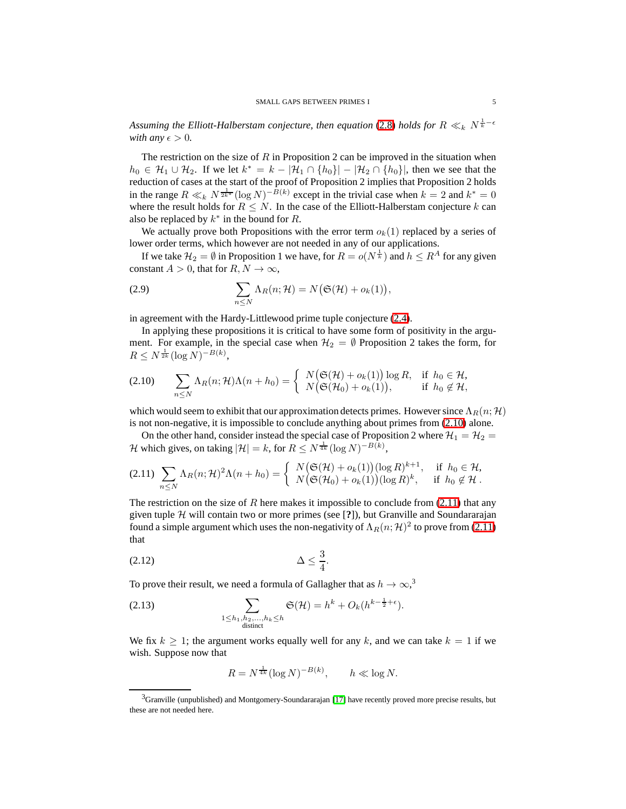Assuming the Elliott-Halberstam conjecture, then equation [\(2.8\)](#page-3-0) holds for  $R \ll_{k} N^{\frac{1}{k} - \epsilon}$ *with any*  $\epsilon > 0$ *.* 

The restriction on the size of  $R$  in Proposition 2 can be improved in the situation when  $h_0 \in \mathcal{H}_1 \cup \mathcal{H}_2$ . If we let  $k^* = k - |\mathcal{H}_1 \cap \{h_0\}| - |\mathcal{H}_2 \cap \{h_0\}|$ , then we see that the reduction of cases at the start of the proof of Proposition 2 implies that Proposition 2 holds in the range  $R \ll_k N^{\frac{1}{2k^*}} (\log N)^{-B(k)}$  except in the trivial case when  $k = 2$  and  $k^* = 0$ where the result holds for  $R \leq N$ . In the case of the Elliott-Halberstam conjecture k can also be replaced by  $k^*$  in the bound for R.

We actually prove both Propositions with the error term  $o_k(1)$  replaced by a series of lower order terms, which however are not needed in any of our applications.

If we take  $\mathcal{H}_2 = \emptyset$  in Proposition 1 we have, for  $R = o(N^{\frac{1}{k}})$  and  $h \leq R^A$  for any given constant  $A > 0$ , that for  $R, N \to \infty$ ,

(2.9) 
$$
\sum_{n\leq N} \Lambda_R(n;\mathcal{H}) = N(\mathfrak{S}(\mathcal{H}) + o_k(1)),
$$

in agreement with the Hardy-Littlewood prime tuple conjecture [\(2.4\)](#page-3-1).

<span id="page-4-0"></span>In applying these propositions it is critical to have some form of positivity in the argument. For example, in the special case when  $\mathcal{H}_2 = \emptyset$  Proposition 2 takes the form, for  $R \le N^{\frac{1}{2k}} (\log N)^{-B(k)},$ 

$$
(2.10) \qquad \sum_{n\leq N} \Lambda_R(n;\mathcal{H})\Lambda(n+h_0) = \begin{cases} N\big(\mathfrak{S}(\mathcal{H}) + o_k(1)\big) \log R, & \text{if } h_0 \in \mathcal{H}, \\ N\big(\mathfrak{S}(\mathcal{H}_0) + o_k(1)\big), & \text{if } h_0 \notin \mathcal{H}, \end{cases}
$$

which would seem to exhibit that our approximation detects primes. However since  $\Lambda_R(n; \mathcal{H})$ is not non-negative, it is impossible to conclude anything about primes from [\(2.10\)](#page-4-0) alone.

<span id="page-4-1"></span>On the other hand, consider instead the special case of Proposition 2 where  $\mathcal{H}_1 = \mathcal{H}_2 =$ *H* which gives, on taking  $|\mathcal{H}| = k$ , for  $R \le N^{\frac{1}{4k}} (\log N)^{-B(k)}$ ,

$$
(2.11) \sum_{n\leq N} \Lambda_R(n;\mathcal{H})^2 \Lambda(n+h_0) = \begin{cases} N\big(\mathfrak{S}(\mathcal{H}) + o_k(1)\big)(\log R)^{k+1}, & \text{if } h_0 \in \mathcal{H}, \\ N\big(\mathfrak{S}(\mathcal{H}_0) + o_k(1)\big)(\log R)^k, & \text{if } h_0 \notin \mathcal{H}. \end{cases}
$$

<span id="page-4-3"></span>The restriction on the size of R here makes it impossible to conclude from  $(2.11)$  that any given tuple  $H$  will contain two or more primes (see [?]), but Granville and Soundararajan found a simple argument which uses the non-negativity of  $\Lambda_R(n; \mathcal{H})^2$  to prove from [\(2.11\)](#page-4-1) that

$$
\Delta \leq \frac{3}{4}.
$$

To prove their result, we need a formula of Gallagher that as  $h \to \infty$ ,<sup>3</sup>

(2.13) 
$$
\sum_{\substack{1 \le h_1, h_2, \dots, h_k \le h \\ \text{distinct}}} \mathfrak{S}(\mathcal{H}) = h^k + O_k(h^{k - \frac{1}{2} + \epsilon}).
$$

We fix  $k \geq 1$ ; the argument works equally well for any k, and we can take  $k = 1$  if we wish. Suppose now that

<span id="page-4-2"></span>
$$
R = N^{\frac{1}{4k}} (\log N)^{-B(k)}, \qquad h \ll \log N.
$$

 $3$ Granville (unpublished) and Montgomery-Soundararajan [\[17\]](#page-33-13) have recently proved more precise results, but these are not needed here.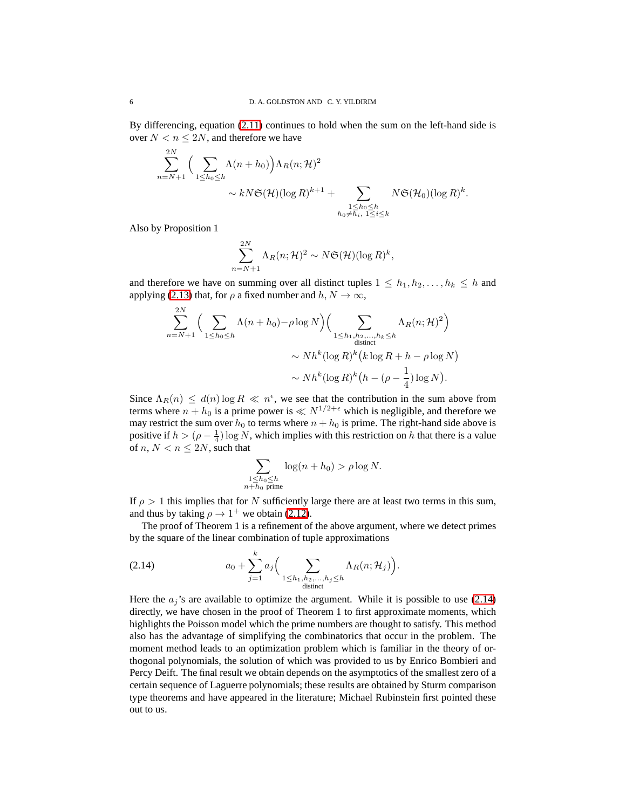By differencing, equation [\(2.11\)](#page-4-1) continues to hold when the sum on the left-hand side is over  $N < n \leq 2N$ , and therefore we have

$$
\sum_{n=N+1}^{2N} \Big( \sum_{1 \le h_0 \le h} \Lambda(n+h_0) \Big) \Lambda_R(n;\mathcal{H})^2
$$
  
 
$$
\sim kN\mathfrak{S}(\mathcal{H})(\log R)^{k+1} + \sum_{\substack{1 \le h_0 \le h \\ h_0 \ne h_i, 1 \le i \le k}} N\mathfrak{S}(\mathcal{H}_0)(\log R)^k.
$$

Also by Proposition 1

 $2N$ 

$$
\sum_{n=N+1}^{2N} \Lambda_R(n; \mathcal{H})^2 \sim N\mathfrak{S}(\mathcal{H}) (\log R)^k,
$$

and therefore we have on summing over all distinct tuples  $1 \leq h_1, h_2, \ldots, h_k \leq h$  and applying [\(2.13\)](#page-4-2) that, for  $\rho$  a fixed number and  $h, N \to \infty$ ,

$$
\sum_{n=N+1}^{2N} \Big( \sum_{1 \le h_0 \le h} \Lambda(n+h_0) - \rho \log N \Big) \Big( \sum_{\substack{1 \le h_1, h_2, \dots, h_k \le h \\ \text{distinct}}} \Lambda_R(n; \mathcal{H})^2 \Big)
$$
  
 
$$
\sim N h^k (\log R)^k (k \log R + h - \rho \log N)
$$
  
 
$$
\sim N h^k (\log R)^k (h - (\rho - \frac{1}{4}) \log N).
$$

Since  $\Lambda_R(n) \leq d(n) \log R \ll n^{\epsilon}$ , we see that the contribution in the sum above from terms where  $n + h_0$  is a prime power is  $\ll N^{1/2 + \epsilon}$  which is negligible, and therefore we may restrict the sum over  $h_0$  to terms where  $n + h_0$  is prime. The right-hand side above is positive if  $h > (\rho - \frac{1}{4}) \log N$ , which implies with this restriction on h that there is a value of  $n, N < n \leq 2N$ , such that

$$
\sum_{\substack{1 \le h_0 \le h \\ n+h_0 \text{ prime}}} \log(n+h_0) > \rho \log N.
$$

If  $\rho > 1$  this implies that for N sufficiently large there are at least two terms in this sum, and thus by taking  $\rho \to 1^+$  we obtain [\(2.12\)](#page-4-3).

The proof of Theorem 1 is a refinement of the above argument, where we detect primes by the square of the linear combination of tuple approximations

(2.14) 
$$
a_0 + \sum_{j=1}^{\kappa} a_j \Big( \sum_{\substack{1 \le h_1, h_2, \ldots, h_j \le h \\ \text{distinct}}} \Lambda_R(n; \mathcal{H}_j) \Big).
$$

<span id="page-5-0"></span> $\mathbf{r}$ 

Here the  $a_j$ 's are available to optimize the argument. While it is possible to use [\(2.14\)](#page-5-0) directly, we have chosen in the proof of Theorem 1 to first approximate moments, which highlights the Poisson model which the prime numbers are thought to satisfy. This method also has the advantage of simplifying the combinatorics that occur in the problem. The moment method leads to an optimization problem which is familiar in the theory of orthogonal polynomials, the solution of which was provided to us by Enrico Bombieri and Percy Deift. The final result we obtain depends on the asymptotics of the smallest zero of a certain sequence of Laguerre polynomials; these results are obtained by Sturm comparison type theorems and have appeared in the literature; Michael Rubinstein first pointed these out to us.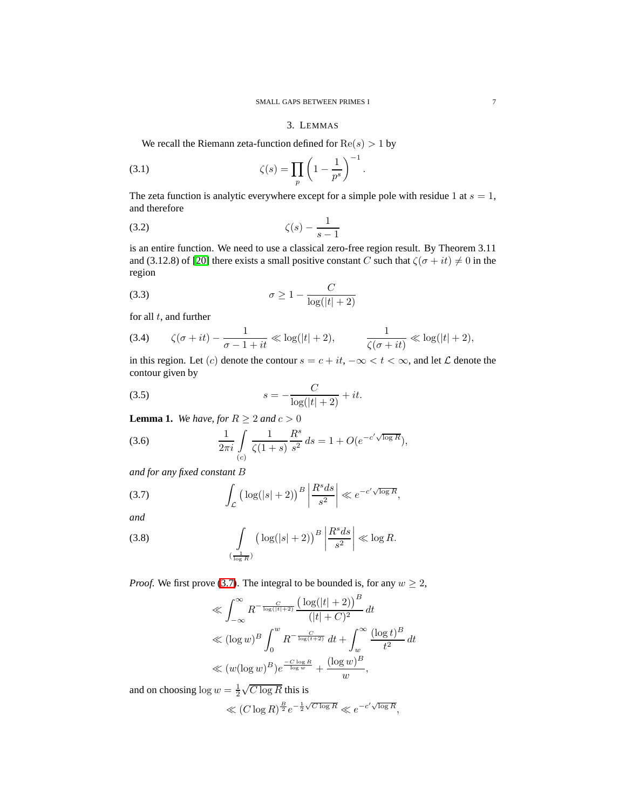# 3. LEMMAS

We recall the Riemann zeta-function defined for  $Re(s) > 1$  by

(3.1) 
$$
\zeta(s) = \prod_p \left(1 - \frac{1}{p^s}\right)^{-1}.
$$

The zeta function is analytic everywhere except for a simple pole with residue 1 at  $s = 1$ , and therefore

$$
\zeta(s) - \frac{1}{s-1}
$$

is an entire function. We need to use a classical zero-free region result. By Theorem 3.11 and (3.12.8) of [\[20\]](#page-33-14) there exists a small positive constant C such that  $\zeta(\sigma + it) \neq 0$  in the region

$$
\sigma \ge 1 - \frac{C}{\log(|t|+2)}
$$

<span id="page-6-2"></span>for all  $t$ , and further

$$
\text{(3.4)} \qquad \zeta(\sigma+it) - \frac{1}{\sigma-1+it} \ll \log(|t|+2), \qquad \frac{1}{\zeta(\sigma+it)} \ll \log(|t|+2),
$$

in this region. Let (c) denote the contour  $s = c + it$ ,  $-\infty < t < \infty$ , and let  $\mathcal L$  denote the contour given by

(3.5) 
$$
s = -\frac{C}{\log(|t|+2)} + it.
$$

<span id="page-6-1"></span>**Lemma 1.** *We have, for*  $R \geq 2$  *and*  $c > 0$ 

(3.6) 
$$
\frac{1}{2\pi i} \int_{(c)} \frac{1}{\zeta(1+s)} \frac{R^s}{s^2} ds = 1 + O(e^{-c'\sqrt{\log R}}),
$$

<span id="page-6-0"></span>*and for any fixed constant* B

(3.7) 
$$
\int_{\mathcal{L}} \left( \log(|s|+2) \right)^{B} \left| \frac{R^{s} ds}{s^{2}} \right| \ll e^{-c' \sqrt{\log R}},
$$

<span id="page-6-3"></span>*and*

(3.8) 
$$
\int_{\frac{1}{(\log R)}} \left( \log(|s|+2) \right)^B \left| \frac{R^s ds}{s^2} \right| \ll \log R.
$$

*Proof.* We first prove [\(3.7\)](#page-6-0). The integral to be bounded is, for any  $w \ge 2$ ,

$$
\ll \int_{-\infty}^{\infty} R^{-\frac{C}{\log(|t|+2)}} \frac{\left(\log(|t|+2)\right)^B}{(|t|+C)^2} dt
$$
  

$$
\ll (\log w)^B \int_0^w R^{-\frac{C}{\log(t+2)}} dt + \int_w^{\infty} \frac{(\log t)^B}{t^2} dt
$$
  

$$
\ll (w(\log w)^B) e^{-\frac{C\log R}{\log w}} + \frac{(\log w)^B}{w},
$$

and on choosing  $\log w = \frac{1}{2} \sqrt{C \log R}$  this is

$$
\ll (C \log R)^{\frac{B}{2}} e^{-\frac{1}{2}\sqrt{C \log R}} \ll e^{-c'\sqrt{\log R}},
$$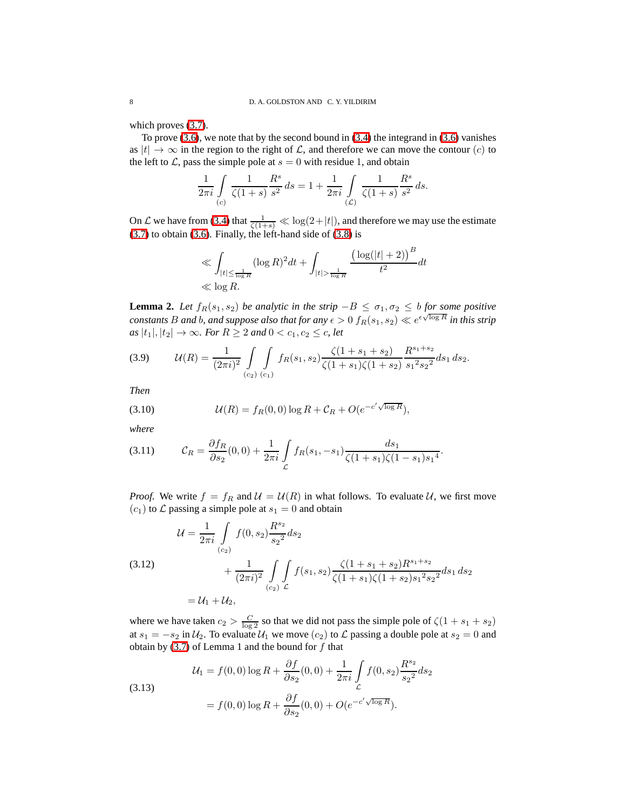which proves  $(3.7)$ .

To prove  $(3.6)$ , we note that by the second bound in  $(3.4)$  the integrand in  $(3.6)$  vanishes as  $|t| \to \infty$  in the region to the right of  $\mathcal L$ , and therefore we can move the contour  $(c)$  to the left to  $\mathcal{L}$ , pass the simple pole at  $s = 0$  with residue 1, and obtain

$$
\frac{1}{2\pi i} \int_{(c)} \frac{1}{\zeta(1+s)} \frac{R^s}{s^2} ds = 1 + \frac{1}{2\pi i} \int_{(L)} \frac{1}{\zeta(1+s)} \frac{R^s}{s^2} ds.
$$

On  $\mathcal L$  we have from [\(3.4\)](#page-6-2) that  $\frac{1}{\zeta(1+s)} \ll \log(2+|t|)$ , and therefore we may use the estimate [\(3.7\)](#page-6-0) to obtain [\(3.6\)](#page-6-1). Finally, the left-hand side of [\(3.8\)](#page-6-3) is

$$
\ll \int_{|t| \le \frac{1}{\log R}} (\log R)^2 dt + \int_{|t| > \frac{1}{\log R}} \frac{(\log(|t| + 2))^B}{t^2} dt
$$
  

$$
\ll \log R.
$$

**Lemma 2.** Let  $f_R(s_1, s_2)$  be analytic in the strip  $-B \leq \sigma_1, \sigma_2 \leq b$  for some positive *constants* B and b, and suppose also that for any  $\epsilon > 0$   $f_R(s_1, s_2) \ll e^{\epsilon \sqrt{\log R}}$  in this strip  $as |t_1|, |t_2| \to \infty$ *. For*  $R \geq 2$  *and*  $0 < c_1, c_2 \leq c$ *, let* 

(3.9) 
$$
\mathcal{U}(R) = \frac{1}{(2\pi i)^2} \int\limits_{(c_2)} \int\limits_{(c_1)} f_R(s_1, s_2) \frac{\zeta(1 + s_1 + s_2)}{\zeta(1 + s_1)\zeta(1 + s_2)} \frac{R^{s_1 + s_2}}{s_1^2 s_2^2} ds_1 ds_2.
$$

*Then*

(3.10) 
$$
U(R) = f_R(0,0) \log R + C_R + O(e^{-c'\sqrt{\log R}}),
$$

*where*

(3.11) 
$$
\mathcal{C}_R = \frac{\partial f_R}{\partial s_2}(0,0) + \frac{1}{2\pi i} \int\limits_{\mathcal{L}} f_R(s_1, -s_1) \frac{ds_1}{\zeta(1+s_1)\zeta(1-s_1)s_1^4}.
$$

*Proof.* We write  $f = f_R$  and  $\mathcal{U} = \mathcal{U}(R)$  in what follows. To evaluate  $\mathcal{U}$ , we first move  $(c_1)$  to  $\mathcal L$  passing a simple pole at  $s_1 = 0$  and obtain

(3.12)  
\n
$$
\mathcal{U} = \frac{1}{2\pi i} \int_{(c_2)} f(0, s_2) \frac{R^{s_2}}{s_2^{2}} ds_2
$$
\n
$$
+ \frac{1}{(2\pi i)^2} \int_{(c_2)} \int_{\mathcal{L}} f(s_1, s_2) \frac{\zeta(1 + s_1 + s_2)R^{s_1 + s_2}}{\zeta(1 + s_1)\zeta(1 + s_2)s_1^{2}s_2^{2}} ds_1 ds_2
$$
\n
$$
= \mathcal{U}_1 + \mathcal{U}_2,
$$

where we have taken  $c_2 > \frac{C}{\log 2}$  so that we did not pass the simple pole of  $\zeta(1 + s_1 + s_2)$ at  $s_1 = -s_2$  in  $\mathcal{U}_2$ . To evaluate  $\mathcal{U}_1$  we move  $(c_2)$  to  $\mathcal L$  passing a double pole at  $s_2 = 0$  and obtain by  $(3.7)$  of Lemma 1 and the bound for f that

(3.13)  

$$
\mathcal{U}_1 = f(0,0) \log R + \frac{\partial f}{\partial s_2}(0,0) + \frac{1}{2\pi i} \int_{\mathcal{L}} f(0,s_2) \frac{R^{s_2}}{s_2^2} ds_2
$$

$$
= f(0,0) \log R + \frac{\partial f}{\partial s_2}(0,0) + O(e^{-c'\sqrt{\log R}}).
$$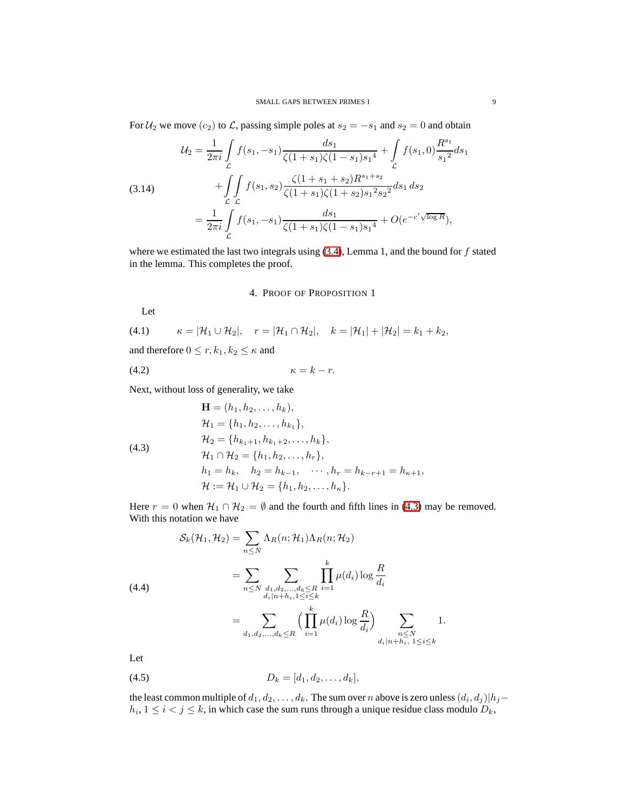For  $U_2$  we move  $(c_2)$  to  $\mathcal{L}$ , passing simple poles at  $s_2 = -s_1$  and  $s_2 = 0$  and obtain

$$
\mathcal{U}_2 = \frac{1}{2\pi i} \int\limits_{\mathcal{L}} f(s_1, -s_1) \frac{ds_1}{\zeta(1+s_1)\zeta(1-s_1)s_1^4} + \int\limits_{\mathcal{L}} f(s_1, 0) \frac{R^{s_1}}{s_1^2} ds_1
$$
  
(3.14)  

$$
+ \int\limits_{\mathcal{L}} \int\limits_{\mathcal{L}} f(s_1, s_2) \frac{\zeta(1+s_1+s_2)R^{s_1+s_2}}{\zeta(1+s_1)\zeta(1+s_2)s_1^2s_2^2} ds_1 ds_2
$$

$$
= \frac{1}{2\pi i} \int\limits_{\mathcal{L}} f(s_1, -s_1) \frac{ds_1}{\zeta(1+s_1)\zeta(1-s_1)s_1^4} + O(e^{-c'\sqrt{\log R}}),
$$

where we estimated the last two integrals using  $(3.4)$ , Lemma 1, and the bound for  $f$  stated in the lemma. This completes the proof.

### <span id="page-8-0"></span>4. PROOF OF PROPOSITION 1

Let

(4.1) 
$$
\kappa = |\mathcal{H}_1 \cup \mathcal{H}_2|, \quad r = |\mathcal{H}_1 \cap \mathcal{H}_2|, \quad k = |\mathcal{H}_1| + |\mathcal{H}_2| = k_1 + k_2,
$$

and therefore  $0 \leq r, k_1, k_2 \leq \kappa$  and

$$
(4.2) \t\t\t\t\kappa = k - r.
$$

Next, without loss of generality, we take

(4.3)  
\n
$$
\mathbf{H} = (h_1, h_2, \dots, h_k),
$$
\n
$$
\mathcal{H}_1 = \{h_1, h_2, \dots, h_{k_1}\},
$$
\n
$$
\mathcal{H}_2 = \{h_{k_1+1}, h_{k_1+2}, \dots, h_k\},
$$
\n
$$
\mathcal{H}_1 \cap \mathcal{H}_2 = \{h_1, h_2, \dots, h_r\},
$$
\n
$$
h_1 = h_k, \quad h_2 = h_{k-1}, \quad \cdots, h_r = h_{k-r+1} = h_{\kappa+1},
$$
\n
$$
\mathcal{H} := \mathcal{H}_1 \cup \mathcal{H}_2 = \{h_1, h_2, \dots, h_k\}.
$$

Here  $r = 0$  when  $\mathcal{H}_1 \cap \mathcal{H}_2 = \emptyset$  and the fourth and fifth lines in [\(4.3\)](#page-8-0) may be removed. With this notation we have

$$
\mathcal{S}_{k}(\mathcal{H}_{1}, \mathcal{H}_{2}) = \sum_{n \leq N} \Lambda_{R}(n; \mathcal{H}_{1}) \Lambda_{R}(n; \mathcal{H}_{2})
$$
\n
$$
= \sum_{n \leq N} \sum_{\substack{d_{1}, d_{2}, \dots, d_{k} \leq R \\ d_{i} | n + h_{i}, 1 \leq i \leq k}} \prod_{i=1}^{k} \mu(d_{i}) \log \frac{R}{d_{i}}
$$
\n
$$
= \sum_{d_{1}, d_{2}, \dots, d_{k} \leq R} \Big( \prod_{i=1}^{k} \mu(d_{i}) \log \frac{R}{d_{i}} \Big) \sum_{\substack{n \leq N \\ d_{i} | n + h_{i}, 1 \leq i \leq k}} 1.
$$

Let

$$
(4.5) \t\t D_k = [d_1, d_2, \dots, d_k],
$$

the least common multiple of  $d_1, d_2, \ldots, d_k$ . The sum over n above is zero unless  $(d_i, d_j)|h_j$  $h_i, 1 \leq i < j \leq k$ , in which case the sum runs through a unique residue class modulo  $D_k$ ,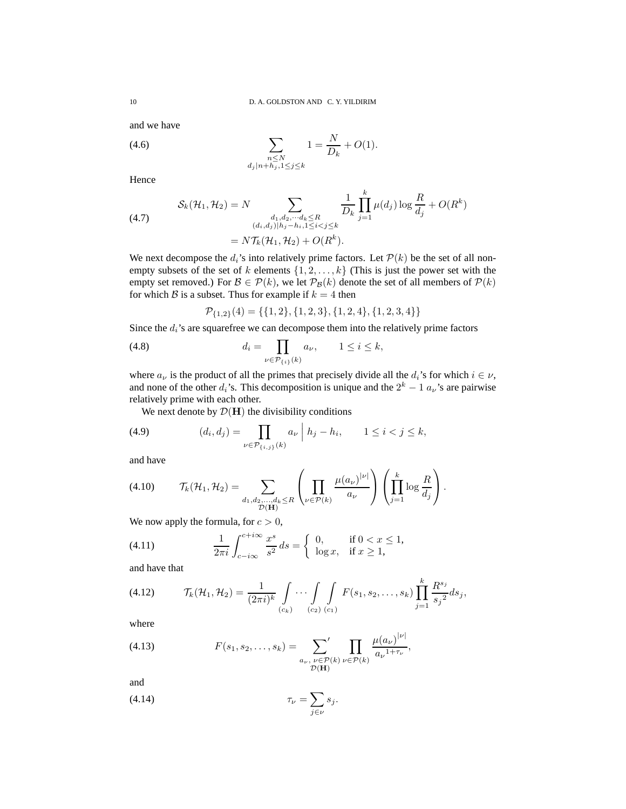<span id="page-9-2"></span> $\overline{a}$ 

and we have

(4.6) 
$$
\sum_{\substack{n \le N \\ d_j|n+h_j, 1 \le j \le k}} 1 = \frac{N}{D_k} + O(1).
$$

Hence

(4.7) 
$$
\mathcal{S}_{k}(\mathcal{H}_{1}, \mathcal{H}_{2}) = N \sum_{\substack{d_{1}, d_{2}, \dots d_{k} \leq R \\ (d_{i}, d_{j}) | h_{j} - h_{i}, 1 \leq i < j \leq k}} \frac{1}{D_{k}} \prod_{j=1}^{k} \mu(d_{j}) \log \frac{R}{d_{j}} + O(R^{k})
$$

$$
= N \mathcal{T}_{k}(\mathcal{H}_{1}, \mathcal{H}_{2}) + O(R^{k}).
$$

We next decompose the  $d_i$ 's into relatively prime factors. Let  $P(k)$  be the set of all nonempty subsets of the set of k elements  $\{1, 2, \ldots, k\}$  (This is just the power set with the empty set removed.) For  $\mathcal{B} \in \mathcal{P}(k)$ , we let  $\mathcal{P}_{\mathcal{B}}(k)$  denote the set of all members of  $\mathcal{P}(k)$ for which  $\beta$  is a subset. Thus for example if  $k = 4$  then

<span id="page-9-1"></span>
$$
\mathcal{P}_{\{1,2\}}(4) = \{\{1,2\}, \{1,2,3\}, \{1,2,4\}, \{1,2,3,4\}\}\
$$

Since the  $d_i$ 's are squarefree we can decompose them into the relatively prime factors

(4.8) 
$$
d_i = \prod_{\nu \in \mathcal{P}_{\{i\}}(k)} a_{\nu}, \qquad 1 \leq i \leq k,
$$

where  $a_{\nu}$  is the product of all the primes that precisely divide all the  $d_i$ 's for which  $i \in \nu$ , and none of the other  $d_i$ 's. This decomposition is unique and the  $2^k - 1 \, a_{\nu}$ 's are pairwise relatively prime with each other.

We next denote by  $\mathcal{D}(\mathbf{H})$  the divisibility conditions

(4.9) 
$$
(d_i, d_j) = \prod_{\nu \in \mathcal{P}_{\{i,j\}}(k)} a_{\nu} \mid h_j - h_i, \qquad 1 \leq i < j \leq k,
$$

and have

$$
(4.10) \t\t \mathcal{T}_{k}(\mathcal{H}_{1},\mathcal{H}_{2})=\sum_{\substack{d_{1},d_{2},\ldots,d_{k}\leq R \\ \mathcal{D}(\mathbf{H})}}\left(\prod_{\nu\in\mathcal{P}(k)}\frac{\mu(a_{\nu})^{|\nu|}}{a_{\nu}}\right)\left(\prod_{j=1}^{k}\log\frac{R}{d_{j}}\right).
$$

We now apply the formula, for  $c > 0$ ,

(4.11) 
$$
\frac{1}{2\pi i} \int_{c-i\infty}^{c+i\infty} \frac{x^s}{s^2} ds = \begin{cases} 0, & \text{if } 0 < x \le 1, \\ \log x, & \text{if } x \ge 1, \end{cases}
$$

<span id="page-9-0"></span>and have that

(4.12) 
$$
\mathcal{T}_{k}(\mathcal{H}_{1}, \mathcal{H}_{2}) = \frac{1}{(2\pi i)^{k}} \int_{(c_{k})} \cdots \int_{(c_{2})} \int_{(c_{1})} F(s_{1}, s_{2}, \ldots, s_{k}) \prod_{j=1}^{k} \frac{R^{s_{j}}}{s_{j}^{2}} ds_{j},
$$

where

(4.13) 
$$
F(s_1, s_2, \dots, s_k) = \sum_{\substack{a_{\nu}, \nu \in \mathcal{P}(k) \\ \mathcal{D}(\mathbf{H})}} \prod_{\nu \in \mathcal{P}(k)} \frac{\mu(a_{\nu})^{|\nu|}}{a_{\nu}^{1+\tau_{\nu}}},
$$

and

$$
\tau_{\nu} = \sum_{j \in \nu} s_j.
$$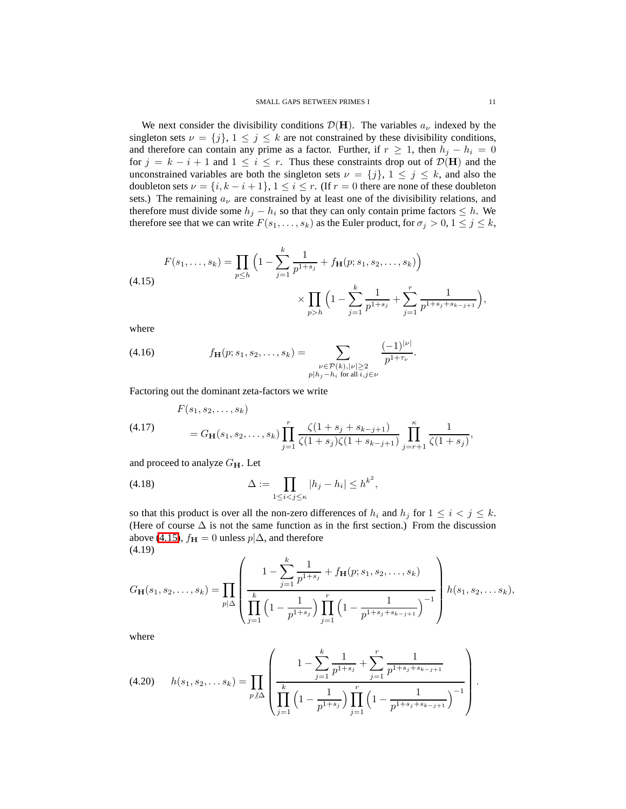We next consider the divisibility conditions  $\mathcal{D}(\mathbf{H})$ . The variables  $a_{\nu}$  indexed by the singleton sets  $\nu = \{j\}, 1 \le j \le k$  are not constrained by these divisibility conditions, and therefore can contain any prime as a factor. Further, if  $r \ge 1$ , then  $h_j - h_i = 0$ for  $j = k - i + 1$  and  $1 \le i \le r$ . Thus these constraints drop out of  $\mathcal{D}(\mathbf{H})$  and the unconstrained variables are both the singleton sets  $\nu = \{j\}, 1 \le j \le k$ , and also the doubleton sets  $\nu = \{i, k - i + 1\}, 1 \le i \le r$ . (If  $r = 0$  there are none of these doubleton sets.) The remaining  $a_{\nu}$  are constrained by at least one of the divisibility relations, and therefore must divide some  $h_j - h_i$  so that they can only contain prime factors  $\leq h$ . We therefore see that we can write  $F(s_1, \ldots, s_k)$  as the Euler product, for  $\sigma_j > 0, 1 \le j \le k$ ,

<span id="page-10-0"></span>(4.15) 
$$
F(s_1, \ldots, s_k) = \prod_{p \leq h} \left( 1 - \sum_{j=1}^k \frac{1}{p^{1+s_j}} + f_{\mathbf{H}}(p; s_1, s_2, \ldots, s_k) \right) \times \prod_{p > h} \left( 1 - \sum_{j=1}^k \frac{1}{p^{1+s_j}} + \sum_{j=1}^r \frac{1}{p^{1+s_j+s_{k-j+1}}} \right),
$$

<span id="page-10-5"></span>where

(4.16) 
$$
f_{\mathbf{H}}(p; s_1, s_2, \ldots, s_k) = \sum_{\substack{\nu \in \mathcal{P}(k), |\nu| \geq 2 \\ p|h_j - h_i \text{ for all } i, j \in \nu}} \frac{(-1)^{|\nu|}}{p^{1+\tau_{\nu}}}.
$$

<span id="page-10-2"></span>Factoring out the dominant zeta-factors we write

(4.17) 
$$
F(s_1, s_2, \dots, s_k) = G_H(s_1, s_2, \dots, s_k) \prod_{j=1}^r \frac{\zeta(1+s_j+s_{k-j+1})}{\zeta(1+s_j)\zeta(1+s_{k-j+1})} \prod_{j=r+1}^\kappa \frac{1}{\zeta(1+s_j)},
$$

<span id="page-10-1"></span>and proceed to analyze  $G_{\mathbf{H}}$ . Let

$$
\Delta := \prod_{1 \le i < j \le \kappa} |h_j - h_i| \le h^{k^2},
$$

<span id="page-10-3"></span>so that this product is over all the non-zero differences of  $h_i$  and  $h_j$  for  $1 \leq i < j \leq k$ . (Here of course  $\Delta$  is not the same function as in the first section.) From the discussion above [\(4.15\)](#page-10-0),  $f_{\mathbf{H}} = 0$  unless  $p | \Delta$ , and therefore (4.19)

$$
G_{\mathbf{H}}(s_1, s_2, \ldots, s_k) = \prod_{p|\Delta} \left( \frac{1 - \sum_{j=1}^k \frac{1}{p^{1+s_j}} + f_{\mathbf{H}}(p; s_1, s_2, \ldots, s_k)}{\prod_{j=1}^k \left(1 - \frac{1}{p^{1+s_j}}\right) \prod_{j=1}^r \left(1 - \frac{1}{p^{1+s_j+s_{k-j+1}}}\right)^{-1}} \right) h(s_1, s_2, \ldots, s_k),
$$

<span id="page-10-4"></span>where

$$
(4.20) \t h(s_1, s_2, \ldots s_k) = \prod_{p \nmid \Delta} \left( \frac{1 - \sum_{j=1}^k \frac{1}{p^{1+s_j}} + \sum_{j=1}^r \frac{1}{p^{1+s_j+s_{k-j+1}}}}{\prod_{j=1}^k \left(1 - \frac{1}{p^{1+s_j}}\right) \prod_{j=1}^r \left(1 - \frac{1}{p^{1+s_j+s_{k-j+1}}}\right)^{-1}} \right).
$$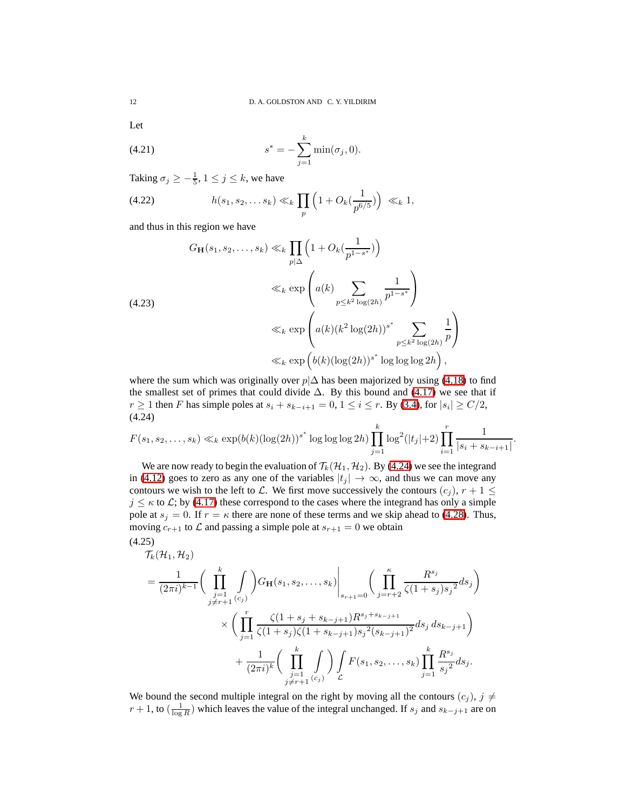Let

(4.21) 
$$
s^* = -\sum_{j=1}^k \min(\sigma_j, 0).
$$

Taking  $\sigma_j \geq -\frac{1}{5}$ ,  $1 \leq j \leq k$ , we have

(4.22) 
$$
h(s_1, s_2, \ldots s_k) \ll_k \prod_p \left(1 + O_k(\frac{1}{p^{6/5}})\right) \ll_k 1,
$$

<span id="page-11-2"></span>and thus in this region we have

$$
G_{\mathbf{H}}(s_1, s_2, \dots, s_k) \ll_k \prod_{p|\Delta} \left( 1 + O_k(\frac{1}{p^{1-s^*}}) \right)
$$
  
\n
$$
\ll_k \exp\left(a(k) \sum_{p \le k^2 \log(2h)} \frac{1}{p^{1-s^*}}\right)
$$
  
\n
$$
\ll_k \exp\left(a(k)(k^2 \log(2h))^{s^*} \sum_{p \le k^2 \log(2h)} \frac{1}{p}\right)
$$
  
\n
$$
\ll_k \exp\left(b(k)(\log(2h))^{s^*} \log \log \log 2h\right),
$$

<span id="page-11-0"></span>where the sum which was originally over  $p|\Delta$  has been majorized by using [\(4.18\)](#page-10-1) to find the smallest set of primes that could divide  $\Delta$ . By this bound and [\(4.17\)](#page-10-2) we see that if  $r \ge 1$  then F has simple poles at  $s_i + s_{k-i+1} = 0, 1 \le i \le r$ . By [\(3.4\)](#page-6-2), for  $|s_i| \ge C/2$ , (4.24)

$$
F(s_1, s_2, \ldots, s_k) \ll_k \exp(b(k)(\log(2h))^{s^*} \log \log \log 2h) \prod_{j=1}^k \log^2(|t_j|+2) \prod_{i=1}^r \frac{1}{|s_i + s_{k-i+1}|}.
$$

We are now ready to begin the evaluation of  $\mathcal{T}_{k}(\mathcal{H}_1, \mathcal{H}_2)$ . By [\(4.24\)](#page-11-0) we see the integrand in [\(4.12\)](#page-9-0) goes to zero as any one of the variables  $|t_i| \to \infty$ , and thus we can move any contours we wish to the left to L. We first move successively the contours  $(c_j)$ ,  $r + 1 \leq$  $j \leq \kappa$  to  $\mathcal{L}$ ; by [\(4.17\)](#page-10-2) these correspond to the cases where the integrand has only a simple pole at  $s_j = 0$ . If  $r = \kappa$  there are none of these terms and we skip ahead to [\(4.28\)](#page-12-0). Thus, moving  $c_{r+1}$  to  $\mathcal L$  and passing a simple pole at  $s_{r+1} = 0$  we obtain (4.25)

<span id="page-11-1"></span>
$$
\mathcal{T}_{k}(\mathcal{H}_{1}, \mathcal{H}_{2})
$$
\n
$$
= \frac{1}{(2\pi i)^{k-1}} \bigg( \prod_{\substack{j=1 \ j \neq r+1}}^{k} \int \int G_{\mathbf{H}}(s_{1}, s_{2}, \ldots, s_{k}) \bigg|_{s_{r+1}=0} \bigg( \prod_{j=r+2}^{\kappa} \frac{R^{s_{j}}}{\zeta(1+s_{j})s_{j}^{2}} ds_{j} \bigg) \times \bigg( \prod_{j=1}^{r} \frac{\zeta(1+s_{j}+s_{k-j+1})R^{s_{j}+s_{k-j+1}}}{\zeta(1+s_{j})\zeta(1+s_{k-j+1})s_{j}^{2}(s_{k-j+1})^{2}} ds_{j} ds_{k-j+1} \bigg) + \frac{1}{(2\pi i)^{k}} \bigg( \prod_{\substack{j=1 \ j \neq r+1}}^{k} \int \int \int \int_{\mathcal{L}} F(s_{1}, s_{2}, \ldots, s_{k}) \prod_{j=1}^{k} \frac{R^{s_{j}}}{s_{j}^{2}} ds_{j}.
$$

We bound the second multiple integral on the right by moving all the contours  $(c_j)$ ,  $j \neq j$  $r + 1$ , to  $\left(\frac{1}{\log R}\right)$  which leaves the value of the integral unchanged. If  $s_j$  and  $s_{k-j+1}$  are on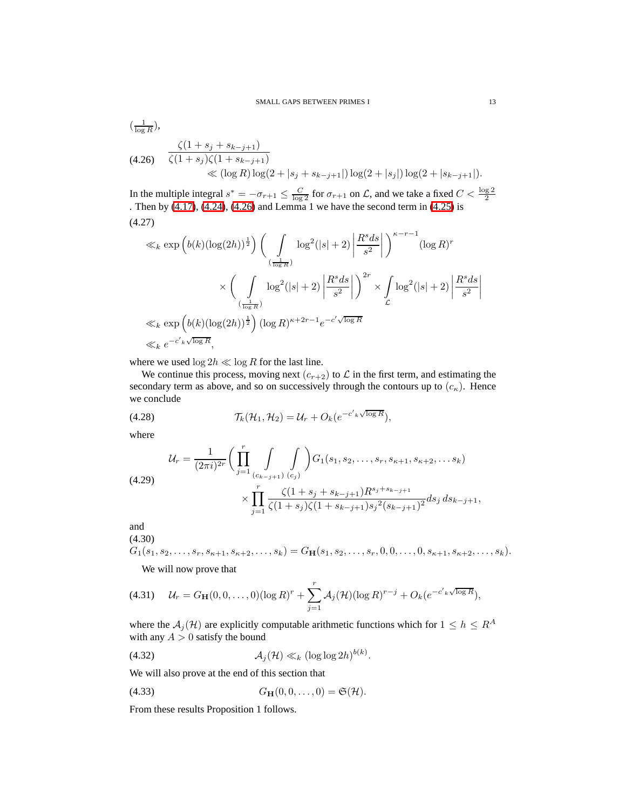<span id="page-12-1"></span>
$$
\frac{\zeta(1+s_j+s_{k-j+1})}{\zeta(1+s_j)\zeta(1+s_{k-j+1})}
$$
\n
$$
\ll (\log R)\log(2+|s_j+s_{k-j+1}|)\log(2+|s_j|)\log(2+|s_{k-j+1}|).
$$

In the multiple integral  $s^* = -\sigma_{r+1} \le \frac{C}{\log 2}$  for  $\sigma_{r+1}$  on  $\mathcal{L}$ , and we take a fixed  $C < \frac{\log 2}{2}$ .<br>Then by [\(4.17\)](#page-10-2), [\(4.24\)](#page-11-0), [\(4.26\)](#page-12-1) and Lemma 1 we have the second term in [\(4.25\)](#page-11-1) is (4.27)

<span id="page-12-4"></span>
$$
\ll_k \exp\left(b(k)(\log(2h))^{\frac{1}{2}}\right) \left(\int_{\frac{1}{(\log R)}} \log^2(|s|+2) \left|\frac{R^s ds}{s^2}\right|\right)^{\kappa-r-1} (\log R)^r
$$

$$
\times \left(\int_{\frac{1}{(\log R)}} \log^2(|s|+2) \left|\frac{R^s ds}{s^2}\right|\right)^{2r} \times \int_{\mathcal{L}} \log^2(|s|+2) \left|\frac{R^s ds}{s^2}\right|
$$

$$
\ll_k \exp\left(b(k)(\log(2h))^{\frac{1}{2}}\right) (\log R)^{\kappa+2r-1} e^{-c'\sqrt{\log R}}
$$

$$
\ll_k e^{-c'\kappa\sqrt{\log R}},
$$

where we used  $\log 2h \ll \log R$  for the last line.

<span id="page-12-0"></span>We continue this process, moving next  $(c_{r+2})$  to  $\mathcal L$  in the first term, and estimating the secondary term as above, and so on successively through the contours up to  $(c_{\kappa})$ . Hence we conclude

<span id="page-12-2"></span>(4.28) 
$$
\mathcal{T}_{k}(\mathcal{H}_{1},\mathcal{H}_{2})=\mathcal{U}_{r}+O_{k}(e^{-c'_{k}\sqrt{\log R}}),
$$

where

$$
\mathcal{U}_r = \frac{1}{(2\pi i)^{2r}} \bigg( \prod_{j=1}^r \int \int \int \int G_1(s_1, s_2, \dots, s_r, s_{\kappa+1}, s_{\kappa+2}, \dots s_k) \times \prod_{j=1}^r \frac{\zeta(1+s_j+s_{k-j+1}) R^{s_j+s_{k-j+1}}}{\zeta(1+s_j)\zeta(1+s_{k-j+1}) s_j^{2} (s_{k-j+1})^{2}} ds_j ds_{k-j+1},
$$

and

$$
(4.30)
$$

$$
G_1(s_1, s_2, \ldots, s_r, s_{\kappa+1}, s_{\kappa+2}, \ldots, s_k) = G_{\mathbf{H}}(s_1, s_2, \ldots, s_r, 0, 0, \ldots, 0, s_{\kappa+1}, s_{\kappa+2}, \ldots, s_k).
$$

<span id="page-12-5"></span>We will now prove that

(4.31) 
$$
\mathcal{U}_r = G_{\mathbf{H}}(0,0,\ldots,0)(\log R)^r + \sum_{j=1}^r \mathcal{A}_j(\mathcal{H})(\log R)^{r-j} + O_k(e^{-c'_{k}\sqrt{\log R}}),
$$

<span id="page-12-3"></span>where the  $A_j(H)$  are explicitly computable arithmetic functions which for  $1 \leq h \leq R^A$ with any  $A > 0$  satisfy the bound

<span id="page-12-6"></span>(4.32) 
$$
\mathcal{A}_j(\mathcal{H}) \ll_k (\log \log 2h)^{b(k)}.
$$

We will also prove at the end of this section that

(4.33) 
$$
G_{\mathbf{H}}(0,0,\ldots,0)=\mathfrak{S}(\mathcal{H}).
$$

From these results Proposition 1 follows.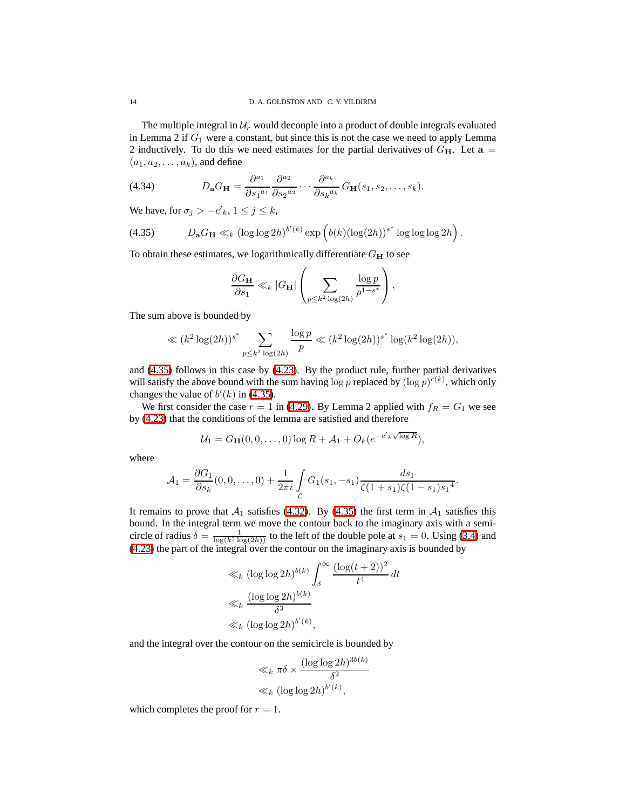The multiple integral in  $\mathcal{U}_r$  would decouple into a product of double integrals evaluated in Lemma 2 if  $G_1$  were a constant, but since this is not the case we need to apply Lemma 2 inductively. To do this we need estimates for the partial derivatives of  $G_H$ . Let  $a =$  $(a_1, a_2, \ldots, a_k)$ , and define

(4.34) 
$$
D_{\mathbf{a}}G_{\mathbf{H}} = \frac{\partial^{a_1}}{\partial s_1^{a_1}} \frac{\partial^{a_2}}{\partial s_2^{a_2}} \cdots \frac{\partial^{a_k}}{\partial s_k^{a_k}} G_{\mathbf{H}}(s_1, s_2, \ldots, s_k).
$$

<span id="page-13-0"></span>We have, for  $\sigma_j > -c'_{k}$ ,  $1 \leq j \leq k$ ,

(4.35) 
$$
D_{\mathbf{a}}G_{\mathbf{H}} \ll_k (\log \log 2h)^{b'(k)} \exp \left( b(k)(\log(2h))^{s^*} \log \log \log 2h \right).
$$

To obtain these estimates, we logarithmically differentiate  $G_{\mathbf{H}}$  to see

$$
\frac{\partial G_{\mathbf{H}}}{\partial s_1} \ll_k |G_{\mathbf{H}}| \left( \sum_{p \leq k^2 \log(2h)} \frac{\log p}{p^{1-s^*}} \right),
$$

The sum above is bounded by

$$
\ll (k^2 \log(2h))^{s^*} \sum_{p \le k^2 \log(2h)} \frac{\log p}{p} \ll (k^2 \log(2h))^{s^*} \log(k^2 \log(2h)),
$$

and [\(4.35\)](#page-13-0) follows in this case by [\(4.23\)](#page-11-2). By the product rule, further partial derivatives will satisfy the above bound with the sum having  $\log p$  replaced by  $(\log p)^{c(k)}$ , which only changes the value of  $b'(k)$  in [\(4.35\)](#page-13-0).

We first consider the case  $r = 1$  in [\(4.29\)](#page-12-2). By Lemma 2 applied with  $f_R = G_1$  we see by [\(4.23\)](#page-11-2) that the conditions of the lemma are satisfied and therefore

$$
\mathcal{U}_1 = G_{\mathbf{H}}(0,0,\ldots,0) \log R + \mathcal{A}_1 + O_k(e^{-c'_{k}\sqrt{\log R}}),
$$

where

$$
\mathcal{A}_1 = \frac{\partial G_1}{\partial s_k}(0, 0, \dots, 0) + \frac{1}{2\pi i} \int\limits_{\mathcal{L}} G_1(s_1, -s_1) \frac{ds_1}{\zeta(1+s_1)\zeta(1-s_1)s_1^4}.
$$

It remains to prove that  $\mathcal{A}_1$  satisfies [\(4.32\)](#page-12-3). By [\(4.35\)](#page-13-0) the first term in  $\mathcal{A}_1$  satisfies this bound. In the integral term we move the contour back to the imaginary axis with a semicircle of radius  $\delta = \frac{1}{\log(k^2 \log(2h))}$  to the left of the double pole at  $s_1 = 0$ . Using [\(3.4\)](#page-6-2) and [\(4.23\)](#page-11-2) the part of the integral over the contour on the imaginary axis is bounded by

$$
\ll_k (\log \log 2h)^{b(k)} \int_{\delta}^{\infty} \frac{(\log(t+2))^2}{t^4} dt
$$
  

$$
\ll_k \frac{(\log \log 2h)^{b(k)}}{\delta^3}
$$
  

$$
\ll_k (\log \log 2h)^{b'(k)},
$$

and the integral over the contour on the semicircle is bounded by

$$
\ll_k \pi \delta \times \frac{(\log \log 2h)^{3b(k)}}{\delta^2}
$$

$$
\ll_k (\log \log 2h)^{b'(k)},
$$

which completes the proof for  $r = 1$ .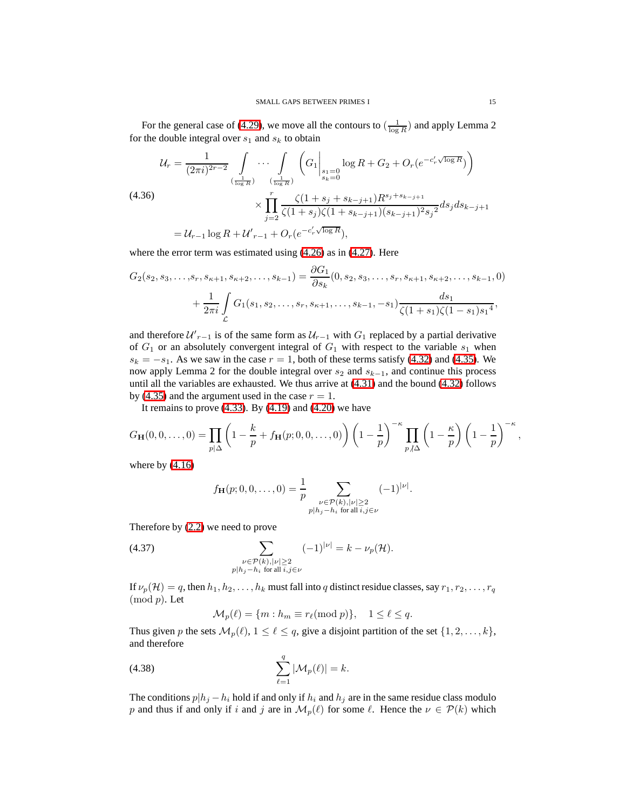For the general case of [\(4.29\)](#page-12-2), we move all the contours to  $(\frac{1}{\log R})$  and apply Lemma 2 for the double integral over  $s_1$  and  $s_k$  to obtain

$$
\mathcal{U}_r = \frac{1}{(2\pi i)^{2r-2}} \int_{\frac{1}{(\log R)}} \cdots \int_{\frac{1}{(\log R)}} \left( G_1 \Big|_{\substack{s_1 = 0 \\ s_k = 0}} \log R + G_2 + O_r(e^{-c'_r \sqrt{\log R}}) \right)
$$
\n
$$
\times \prod_{j=2}^r \frac{\zeta(1 + s_j + s_{k-j+1}) R^{s_j + s_{k-j+1}}}{\zeta(1 + s_j)\zeta(1 + s_{k-j+1})(s_{k-j+1})^2 s_j^2} ds_j ds_{k-j+1}
$$

 $= U_{r-1} \log R + U'_{r-1} + O_r(e^{-c'_r \sqrt{\log R}}),$ 

where the error term was estimated using [\(4.26\)](#page-12-1) as in [\(4.27\)](#page-12-4). Here

$$
G_2(s_2, s_3, \ldots, s_r, s_{\kappa+1}, s_{\kappa+2}, \ldots, s_{k-1}) = \frac{\partial G_1}{\partial s_k}(0, s_2, s_3, \ldots, s_r, s_{\kappa+1}, s_{\kappa+2}, \ldots, s_{k-1}, 0) + \frac{1}{2\pi i} \int_C G_1(s_1, s_2, \ldots, s_r, s_{\kappa+1}, \ldots, s_{k-1}, -s_1) \frac{ds_1}{\zeta(1+s_1)\zeta(1-s_1)s_1^4},
$$

and therefore  $\mathcal{U}'_{r-1}$  is of the same form as  $\mathcal{U}_{r-1}$  with  $G_1$  replaced by a partial derivative of  $G_1$  or an absolutely convergent integral of  $G_1$  with respect to the variable  $s_1$  when  $s_k = -s_1$ . As we saw in the case  $r = 1$ , both of these terms satisfy [\(4.32\)](#page-12-3) and [\(4.35\)](#page-13-0). We now apply Lemma 2 for the double integral over  $s_2$  and  $s_{k-1}$ , and continue this process until all the variables are exhausted. We thus arrive at [\(4.31\)](#page-12-5) and the bound [\(4.32\)](#page-12-3) follows by [\(4.35\)](#page-13-0) and the argument used in the case  $r = 1$ .

It remains to prove  $(4.33)$ . By  $(4.19)$  and  $(4.20)$  we have

$$
G_{\mathbf{H}}(0,0,\ldots,0)=\prod_{p|\Delta}\left(1-\frac{k}{p}+f_{\mathbf{H}}(p;0,0,\ldots,0)\right)\left(1-\frac{1}{p}\right)^{-\kappa}\prod_{p\not|\Delta}\left(1-\frac{\kappa}{p}\right)\left(1-\frac{1}{p}\right)^{-\kappa},
$$

where by [\(4.16\)](#page-10-5)

$$
f_{\mathbf{H}}(p; 0, 0, \dots, 0) = \frac{1}{p} \sum_{\substack{\nu \in \mathcal{P}(k), |\nu| \geq 2 \\ p|h_j - h_i \text{ for all } i, j \in \nu}} (-1)^{|\nu|}.
$$

Therefore by [\(2.2\)](#page-3-2) we need to prove

(4.37) 
$$
\sum_{\substack{\nu \in \mathcal{P}(k), |\nu| \ge 2 \\ p|h_j - h_i \text{ for all } i,j \in \nu}} (-1)^{|\nu|} = k - \nu_p(\mathcal{H}).
$$

If  $\nu_p(\mathcal{H}) = q$ , then  $h_1, h_2, \ldots, h_k$  must fall into q distinct residue classes, say  $r_1, r_2, \ldots, r_q$  $\pmod{p}$ . Let

$$
\mathcal{M}_p(\ell) = \{ m : h_m \equiv r_\ell \pmod{p} \}, \quad 1 \le \ell \le q.
$$

<span id="page-14-0"></span>Thus given p the sets  $\mathcal{M}_p(\ell)$ ,  $1 \leq \ell \leq q$ , give a disjoint partition of the set  $\{1, 2, \ldots, k\}$ , and therefore

$$
\sum_{\ell=1}^q |\mathcal{M}_p(\ell)| = k.
$$

The conditions  $p|h_i - h_i$  hold if and only if  $h_i$  and  $h_j$  are in the same residue class modulo p and thus if and only if i and j are in  $\mathcal{M}_p(\ell)$  for some  $\ell$ . Hence the  $\nu \in \mathcal{P}(k)$  which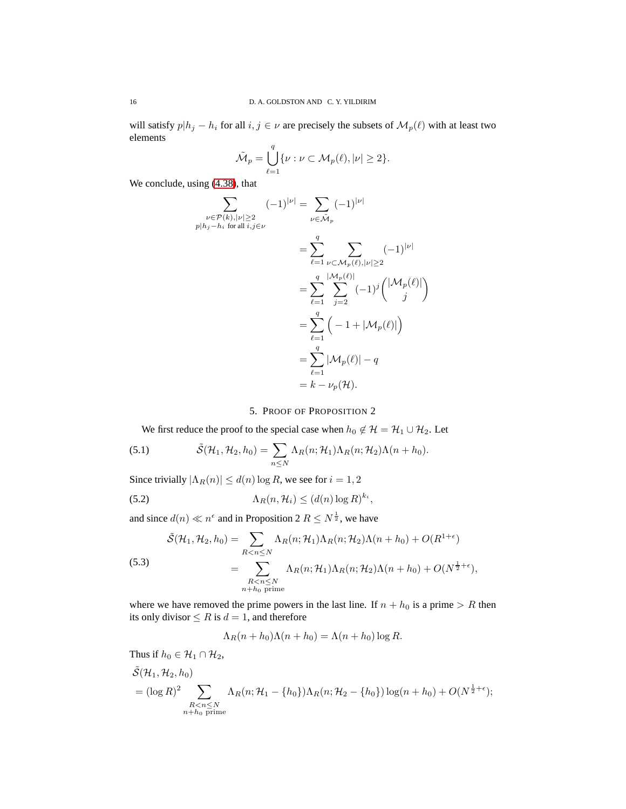will satisfy  $p|h_j - h_i$  for all  $i, j \in \nu$  are precisely the subsets of  $\mathcal{M}_p(\ell)$  with at least two elements

$$
\tilde{\mathcal{M}}_p = \bigcup_{\ell=1}^q \{ \nu : \nu \subset \mathcal{M}_p(\ell), |\nu| \geq 2 \}.
$$

We conclude, using [\(4.38\)](#page-14-0), that

$$
\sum_{\substack{\nu \in \mathcal{P}(k), |\nu| \ge 2 \\ p|h_j - h_i \text{ for all } i,j \in \nu}} (-1)^{|\nu|} = \sum_{\nu \in \tilde{\mathcal{M}}_p} (-1)^{|\nu|}
$$

$$
= \sum_{\ell=1}^q \sum_{\substack{\nu \in \mathcal{M}_p(\ell), |\nu| \ge 2 \\ \sum_{\ell=1}^q \sum_{j=2}^q (-1)^j \binom{|\mathcal{M}_p(\ell)|}{j}} = \sum_{\ell=1}^q \binom{-1 + |\mathcal{M}_p(\ell)|}{j}
$$

$$
= \sum_{\ell=1}^q (-1 + |\mathcal{M}_p(\ell)|)
$$

$$
= \sum_{\ell=1}^q |\mathcal{M}_p(\ell)| - q
$$

$$
= k - \nu_p(\mathcal{H}).
$$

# 5. PROOF OF PROPOSITION 2

We first reduce the proof to the special case when  $h_0 \notin \mathcal{H} = \mathcal{H}_1 \cup \mathcal{H}_2$ . Let

(5.1) 
$$
\tilde{S}(\mathcal{H}_1, \mathcal{H}_2, h_0) = \sum_{n \leq N} \Lambda_R(n; \mathcal{H}_1) \Lambda_R(n; \mathcal{H}_2) \Lambda(n + h_0).
$$

Since trivially  $|\Lambda_R(n)| \le d(n) \log R$ , we see for  $i = 1, 2$ 

(5.2) 
$$
\Lambda_R(n, \mathcal{H}_i) \leq (d(n) \log R)^{k_i},
$$

and since  $d(n) \ll n^{\epsilon}$  and in Proposition 2  $R \le N^{\frac{1}{2}}$ , we have

(5.3)  
\n
$$
\tilde{\mathcal{S}}(\mathcal{H}_1, \mathcal{H}_2, h_0) = \sum_{R < n \le N} \Lambda_R(n; \mathcal{H}_1) \Lambda_R(n; \mathcal{H}_2) \Lambda(n + h_0) + O(R^{1+\epsilon})
$$
\n
$$
= \sum_{\substack{R < n \le N \\ n + h_0 \text{ prime}}} \Lambda_R(n; \mathcal{H}_1) \Lambda_R(n; \mathcal{H}_2) \Lambda(n + h_0) + O(N^{\frac{1}{2} + \epsilon}),
$$

where we have removed the prime powers in the last line. If  $n + h_0$  is a prime  $> R$  then its only divisor  $\leq R$  is  $d = 1$ , and therefore

$$
\Lambda_R(n+h_0)\Lambda(n+h_0) = \Lambda(n+h_0)\log R.
$$

Thus if  $h_0 \in \mathcal{H}_1 \cap \mathcal{H}_2$ ,

$$
\tilde{\mathcal{S}}(\mathcal{H}_1, \mathcal{H}_2, h_0)
$$
  
=  $(\log R)^2 \sum_{\substack{R < n \le N \\ n+h_0 \text{ prime}}} \Lambda_R(n; \mathcal{H}_1 - \{h_0\}) \Lambda_R(n; \mathcal{H}_2 - \{h_0\}) \log(n+h_0) + O(N^{\frac{1}{2}+\epsilon});$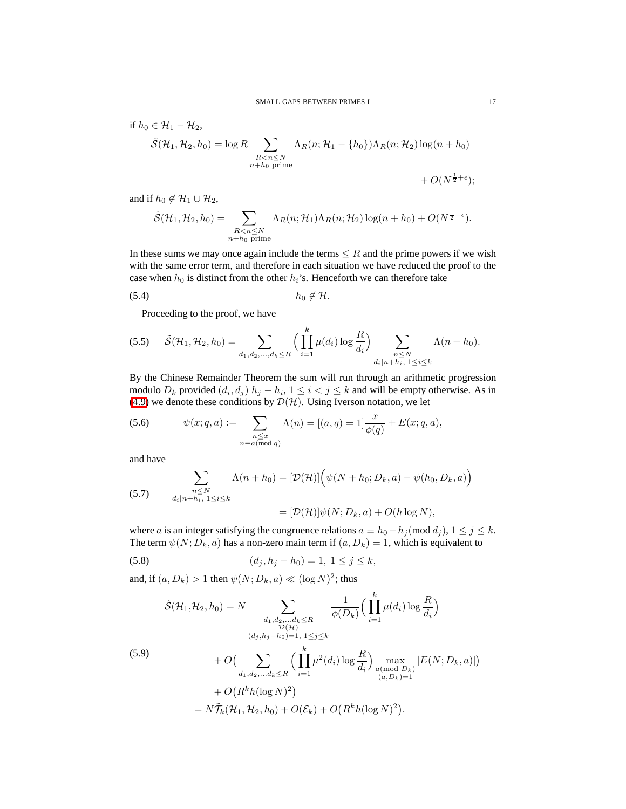if 
$$
h_0 \in \mathcal{H}_1 - \mathcal{H}_2
$$
,  
\n
$$
\tilde{\mathcal{S}}(\mathcal{H}_1, \mathcal{H}_2, h_0) = \log R \sum_{\substack{R < n \le N \\ n + h_0 \text{ prime}}} \Lambda_R(n; \mathcal{H}_1 - \{h_0\}) \Lambda_R(n; \mathcal{H}_2) \log(n + h_0) + O(N^{\frac{1}{2} + \epsilon});
$$

and if  $h_0 \notin \mathcal{H}_1 \cup \mathcal{H}_2$ ,

$$
\tilde{S}(\mathcal{H}_1, \mathcal{H}_2, h_0) = \sum_{\substack{R < n \leq N \\ n+h_0 \text{ prime}}} \Lambda_R(n; \mathcal{H}_1) \Lambda_R(n; \mathcal{H}_2) \log(n+h_0) + O(N^{\frac{1}{2}+\epsilon}).
$$

In these sums we may once again include the terms  $\leq R$  and the prime powers if we wish with the same error term, and therefore in each situation we have reduced the proof to the case when  $h_0$  is distinct from the other  $h_i$ 's. Henceforth we can therefore take

(5.4) h<sup>0</sup> 6∈ H.

Proceeding to the proof, we have

(5.5) 
$$
\tilde{S}(\mathcal{H}_1, \mathcal{H}_2, h_0) = \sum_{d_1, d_2, ..., d_k \le R} \left( \prod_{i=1}^k \mu(d_i) \log \frac{R}{d_i} \right) \sum_{\substack{n \le N \\ d_i | n + h_i, 1 \le i \le k}} \Lambda(n + h_0).
$$

By the Chinese Remainder Theorem the sum will run through an arithmetic progression modulo  $D_k$  provided  $(d_i, d_j) | h_j - h_i, 1 \le i < j \le k$  and will be empty otherwise. As in [\(4.9\)](#page-9-1) we denote these conditions by  $\mathcal{D}(\mathcal{H})$ . Using Iverson notation, we let

(5.6) 
$$
\psi(x; q, a) := \sum_{\substack{n \le x \\ n \equiv a \pmod{q}}} \Lambda(n) = [(a, q) = 1] \frac{x}{\phi(q)} + E(x; q, a),
$$

and have

(5.7) 
$$
\sum_{\substack{n \leq N \\ d_i|n+h_i, 1 \leq i \leq k}} \Lambda(n+h_0) = [\mathcal{D}(\mathcal{H})] \Big( \psi(N+h_0; D_k, a) - \psi(h_0, D_k, a) \Big)
$$

$$
= [\mathcal{D}(\mathcal{H})] \psi(N; D_k, a) + O(h \log N),
$$

where a is an integer satisfying the congruence relations  $a \equiv h_0 - h_j \pmod{d_j}$ ,  $1 \le j \le k$ . The term  $\psi(N; D_k, a)$  has a non-zero main term if  $(a, D_k) = 1$ , which is equivalent to

(5.8) 
$$
(d_j, h_j - h_0) = 1, 1 \le j \le k,
$$

and, if  $(a, D_k) > 1$  then  $\psi(N; D_k, a) \ll (\log N)^2$ ; thus

$$
\tilde{S}(\mathcal{H}_1, \mathcal{H}_2, h_0) = N \sum_{\substack{d_1, d_2, \dots, d_k \le R \\ \mathcal{D}(\mathcal{H})}} \frac{1}{\phi(D_k)} \Big( \prod_{i=1}^k \mu(d_i) \log \frac{R}{d_i} \Big)
$$
  

$$
(d_j, h_j - h_0) = 1, 1 \le j \le k
$$
  

$$
+ O\Big( \sum_{\substack{d_1, d_2, \dots, d_k \le R \\ d_1, d_2, \dots, d_k \le R}} \Big( \prod_{i=1}^k \mu^2(d_i) \log \frac{R}{d_i} \Big) \max_{\substack{a(\text{mod } D_k) \\ (a, D_i) = 1}} |E(N; D_k, a)| \Big)
$$

$$
+ O\left(\sum_{d_1, d_2, \dots, d_k \le R} \left( \prod_{i=1}^{\infty} \mu(a_i) \log \frac{1}{d_i} \right) \max_{\substack{a(\text{mod } D_k) \\ (a, D_k) = 1}} |E(N, D_k, a)| + O\left(R^k h(\log N)^2\right)
$$
  
=  $N \tilde{T}_k(\mathcal{H}_1, \mathcal{H}_2, h_0) + O(\mathcal{E}_k) + O\left(R^k h(\log N)^2\right).$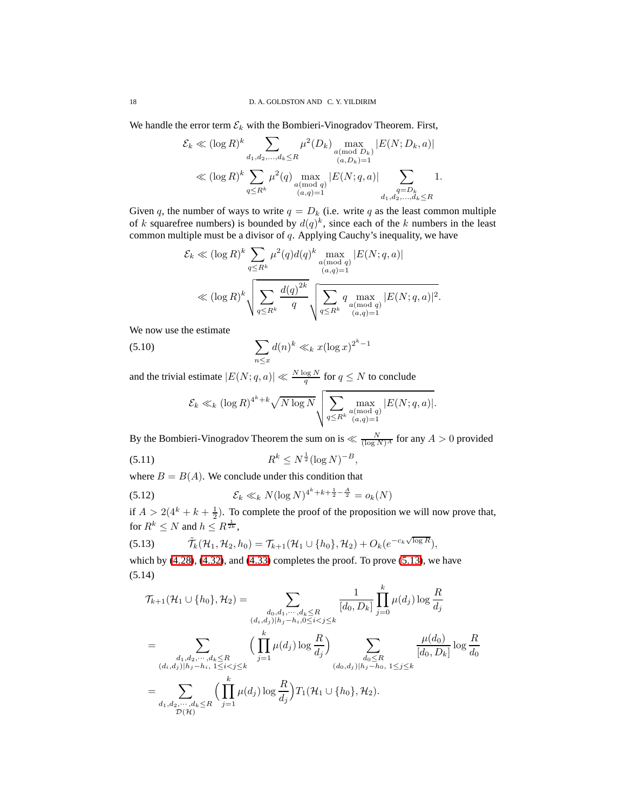We handle the error term  $\mathcal{E}_k$  with the Bombieri-Vinogradov Theorem. First,

$$
\mathcal{E}_k \ll (\log R)^k \sum_{d_1, d_2, ..., d_k \le R} \mu^2(D_k) \max_{\substack{a(\text{mod } D_k) \\ (a, D_k) = 1}} |E(N; D_k, a)|
$$
  

$$
\ll (\log R)^k \sum_{q \le R^k} \mu^2(q) \max_{\substack{a(\text{mod } q) \\ (a, q) = 1}} |E(N; q, a)| \sum_{\substack{q = D_k \\ d_1, d_2, ..., d_k \le R}} 1.
$$

Given q, the number of ways to write  $q = D_k$  (i.e. write q as the least common multiple of k squarefree numbers) is bounded by  $d(q)^k$ , since each of the k numbers in the least common multiple must be a divisor of q. Applying Cauchy's inequality, we have

$$
\mathcal{E}_k \ll (\log R)^k \sum_{q \le R^k} \mu^2(q) d(q)^k \max_{\substack{a \pmod{q} \\ (a,q)=1}} |E(N; q, a)|
$$
  

$$
\ll (\log R)^k \sqrt{\sum_{q \le R^k} \frac{d(q)^{2k}}{q}} \sqrt{\sum_{q \le R^k} q \max_{\substack{a \pmod{q} \\ (a,q)=1}} |E(N; q, a)|^2}.
$$

<span id="page-17-2"></span>We now use the estimate

(5.10) 
$$
\sum_{n \leq x} d(n)^k \ll_k x(\log x)^{2^k - 1}
$$

and the trivial estimate  $|E(N; q, a)| \ll \frac{N \log N}{q}$  for  $q \le N$  to conclude

$$
\mathcal{E}_k \ll_k (\log R)^{4^k + k} \sqrt{N \log N} \sqrt{\sum_{q \leq R^k} \max_{\substack{a \pmod{q} \\ (a,q)=1}} |E(N; q, a)|}.
$$

By the Bombieri-Vinogradov Theorem the sum on is  $\ll \frac{N}{(\log N)^A}$  for any  $A > 0$  provided

(5.11) 
$$
R^k \le N^{\frac{1}{2}} (\log N)^{-B},
$$

where  $B = B(A)$ . We conclude under this condition that

(5.12) 
$$
\mathcal{E}_k \ll_k N(\log N)^{4^k + k + \frac{1}{2} - \frac{A}{2}} = o_k(N)
$$

<span id="page-17-0"></span>if  $A > 2(4^k + k + \frac{1}{2})$ . To complete the proof of the proposition we will now prove that, for  $R^k \leq N$  and  $h \leq R^{\frac{1}{2k}}$ ,

(5.13) 
$$
\tilde{\mathcal{T}}_k(\mathcal{H}_1, \mathcal{H}_2, h_0) = \mathcal{T}_{k+1}(\mathcal{H}_1 \cup \{h_0\}, \mathcal{H}_2) + O_k(e^{-c_k\sqrt{\log R}}),
$$

which by  $(4.28)$ ,  $(4.32)$ , and  $(4.33)$  completes the proof. To prove  $(5.13)$ , we have (5.14)

<span id="page-17-1"></span>
$$
\mathcal{T}_{k+1}(\mathcal{H}_1 \cup \{h_0\}, \mathcal{H}_2) = \sum_{\substack{d_0, d_1, \dots, d_k \le R \\ (d_i, d_j)|h_j - h_i, 0 \le i < j \le k}} \frac{1}{[d_0, D_k]} \prod_{j=0}^k \mu(d_j) \log \frac{R}{d_j}
$$
\n
$$
= \sum_{\substack{d_1, d_2, \dots, d_k \le R \\ (d_i, d_j)|h_j - h_i, 1 \le i < j \le k}} \Big(\prod_{j=1}^k \mu(d_j) \log \frac{R}{d_j}\Big) \sum_{\substack{d_0 \le R \\ (d_0, d_j)|h_j - h_0, 1 \le j \le k}} \frac{\mu(d_0)}{[d_0, D_k]} \log \frac{R}{d_0}
$$
\n
$$
= \sum_{\substack{d_1, d_2, \dots, d_k \le R \\ \mathcal{D}(\mathcal{H})}} \Big(\prod_{j=1}^k \mu(d_j) \log \frac{R}{d_j}\Big) T_1(\mathcal{H}_1 \cup \{h_0\}, \mathcal{H}_2).
$$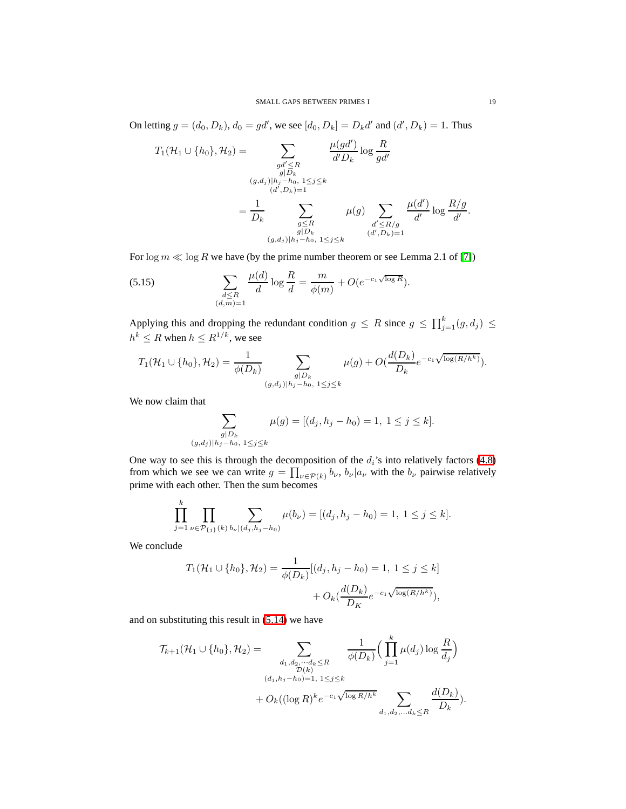On letting  $g = (d_0, D_k)$ ,  $d_0 = gd'$ , we see  $[d_0, D_k] = D_k d'$  and  $(d', D_k) = 1$ . Thus

$$
T_1(\mathcal{H}_1 \cup \{h_0\}, \mathcal{H}_2) = \sum_{\substack{gd' \le R \\ g|D_k \\ (d', D_k) = 1}} \frac{\mu(gd')}{d'D_k} \log \frac{R}{gd'} \n= \frac{1}{D_k} \sum_{\substack{g \le R \\ g \le R \\ g|D_k \\ g|D_k}} \mu(g) \sum_{\substack{d' \le R/g \\ d' \le R/g \\ (d', D_k) = 1}} \frac{\mu(d')}{d'} \log \frac{R/g}{d'}.
$$

For  $\log m \ll \log R$  we have (by the prime number theorem or see Lemma 2.1 of [\[7\]](#page-33-1))

(5.15) 
$$
\sum_{\substack{d \le R \\ (d,m)=1}} \frac{\mu(d)}{d} \log \frac{R}{d} = \frac{m}{\phi(m)} + O(e^{-c_1 \sqrt{\log R}}).
$$

Applying this and dropping the redundant condition  $g \leq R$  since  $g \leq \prod_{j=1}^{k} (g, d_j) \leq$  $h^k \leq R$  when  $h \leq R^{1/k}$ , we see

$$
T_1(\mathcal{H}_1 \cup \{h_0\}, \mathcal{H}_2) = \frac{1}{\phi(D_k)} \sum_{\substack{g \mid D_k \\ (g,d_j) \mid h_j - h_0, \ 1 \le j \le k}} \mu(g) + O(\frac{d(D_k)}{D_k} e^{-c_1 \sqrt{\log(R/h^k)}}).
$$

We now claim that

$$
\sum_{\substack{g \mid D_k \\ (g,d_j) \mid h_j - h_0, \ 1 \le j \le k}} \mu(g) = [(d_j, h_j - h_0) = 1, \ 1 \le j \le k].
$$

One way to see this is through the decomposition of the  $d_i$ 's into relatively factors [\(4.8\)](#page-9-2) from which we see we can write  $g = \prod_{\nu \in \mathcal{P}(k)} b_{\nu}$ ,  $b_{\nu} | a_{\nu}$  with the  $b_{\nu}$  pairwise relatively prime with each other. Then the sum becomes

$$
\prod_{j=1}^k \prod_{\nu \in \mathcal{P}_{\{j\}}(k)} \sum_{b_{\nu} | (d_j, h_j - h_0)} \mu(b_{\nu}) = [(d_j, h_j - h_0) = 1, 1 \le j \le k].
$$

We conclude

$$
T_1(\mathcal{H}_1 \cup \{h_0\}, \mathcal{H}_2) = \frac{1}{\phi(D_k)}[(d_j, h_j - h_0) = 1, 1 \le j \le k]
$$

$$
+ O_k(\frac{d(D_k)}{D_K}e^{-c_1\sqrt{\log(R/h^k)}}),
$$

and on substituting this result in [\(5.14\)](#page-17-1) we have

$$
\mathcal{T}_{k+1}(\mathcal{H}_1 \cup \{h_0\}, \mathcal{H}_2) = \sum_{\substack{d_1, d_2, \dots d_k \le R \\ \mathcal{D}(k) \\ (d_j, h_j - h_0) = 1, 1 \le j \le k}} \frac{1}{\phi(D_k)} \Big( \prod_{j=1}^k \mu(d_j) \log \frac{R}{d_j} \Big) \\ + O_k((\log R)^k e^{-c_1 \sqrt{\log R/h^k}} \sum_{d_1, d_2, \dots d_k \le R} \frac{d(D_k)}{D_k}).
$$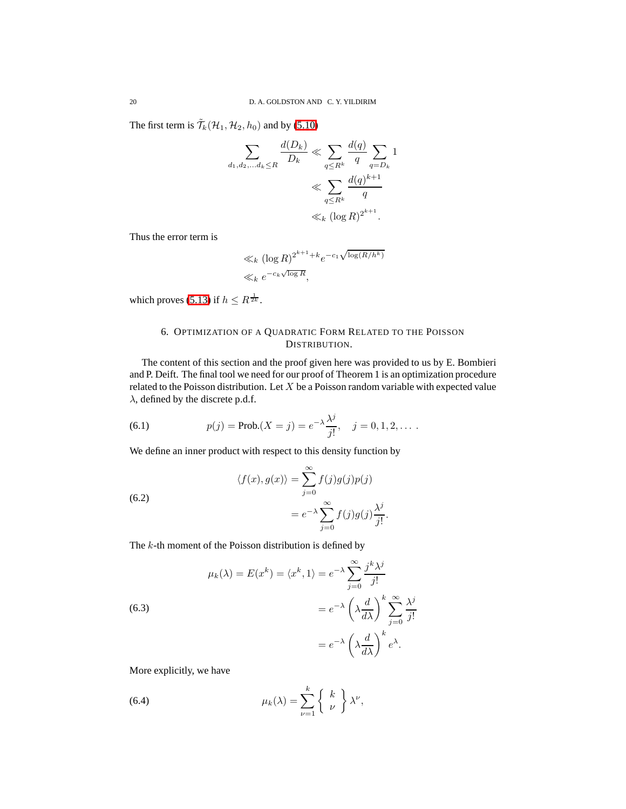The first term is  $\tilde{\mathcal{T}}_k(\mathcal{H}_1, \mathcal{H}_2, h_0)$  and by [\(5.10\)](#page-17-2)

$$
\sum_{d_1, d_2, \dots d_k \le R} \frac{d(D_k)}{D_k} \ll \sum_{q \le R^k} \frac{d(q)}{q} \sum_{q = D_k} 1
$$

$$
\ll \sum_{q \le R^k} \frac{d(q)^{k+1}}{q}
$$

$$
\ll_k (\log R)^{2^{k+1}}.
$$

Thus the error term is

$$
\ll_k (\log R)^{2^{k+1}+k} e^{-c_1 \sqrt{\log(R/h^k)}}
$$
  

$$
\ll_k e^{-c_k \sqrt{\log R}},
$$

which proves [\(5.13\)](#page-17-0) if  $h \leq R^{\frac{1}{2k}}$ .

# 6. OPTIMIZATION OF A QUADRATIC FORM RELATED TO THE POISSON DISTRIBUTION.

The content of this section and the proof given here was provided to us by E. Bombieri and P. Deift. The final tool we need for our proof of Theorem 1 is an optimization procedure related to the Poisson distribution. Let  $X$  be a Poisson random variable with expected value  $\lambda$ , defined by the discrete p.d.f.

<span id="page-19-1"></span>.

(6.1) 
$$
p(j) = \text{Prob.}(X = j) = e^{-\lambda} \frac{\lambda^j}{j!}, \quad j = 0, 1, 2, \dots
$$

We define an inner product with respect to this density function by

(6.2)  

$$
\langle f(x), g(x) \rangle = \sum_{j=0}^{\infty} f(j)g(j)p(j)
$$

$$
= e^{-\lambda} \sum_{j=0}^{\infty} f(j)g(j) \frac{\lambda^j}{j!}
$$

The  $k$ -th moment of the Poisson distribution is defined by

(6.3)  

$$
\mu_k(\lambda) = E(x^k) = \langle x^k, 1 \rangle = e^{-\lambda} \sum_{j=0}^{\infty} \frac{j^k \lambda^j}{j!}
$$

$$
= e^{-\lambda} \left( \lambda \frac{d}{d\lambda} \right)^k \sum_{j=0}^{\infty} \frac{\lambda^j}{j!}
$$

$$
= e^{-\lambda} \left( \lambda \frac{d}{d\lambda} \right)^k e^{\lambda}.
$$

<span id="page-19-0"></span>More explicitly, we have

(6.4) 
$$
\mu_k(\lambda) = \sum_{\nu=1}^k \left\{ k \atop \nu \right\} \lambda^{\nu},
$$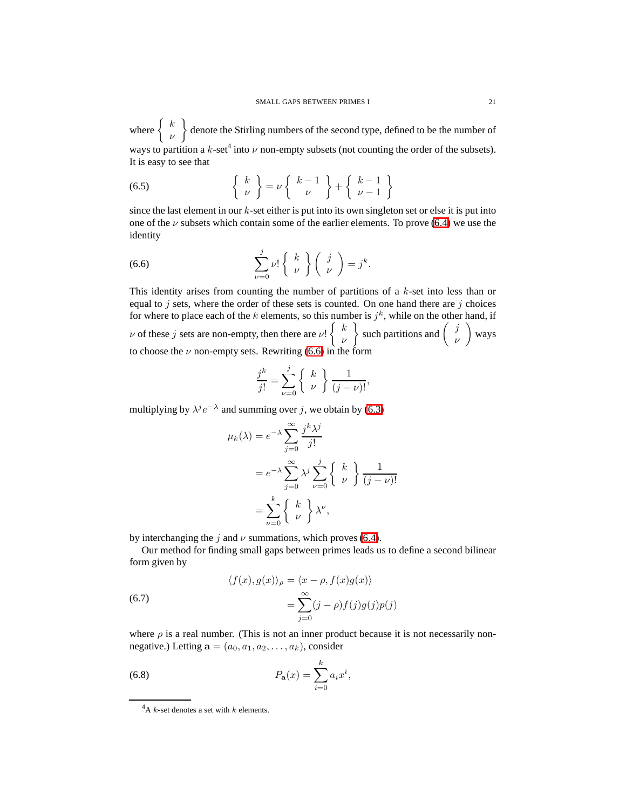<span id="page-20-1"></span>where  $\begin{cases} k \end{cases}$ ν denote the Stirling numbers of the second type, defined to be the number of ways to partition a  $k$ -set<sup>4</sup> into  $\nu$  non-empty subsets (not counting the order of the subsets). It is easy to see that

(6.5) 
$$
\left\{\begin{array}{c}k\\ \nu\end{array}\right\} = \nu \left\{\begin{array}{c}k-1\\ \nu\end{array}\right\} + \left\{\begin{array}{c}k-1\\ \nu-1\end{array}\right\}
$$

<span id="page-20-0"></span>since the last element in our  $k$ -set either is put into its own singleton set or else it is put into one of the  $\nu$  subsets which contain some of the earlier elements. To prove [\(6.4\)](#page-19-0) we use the identity

(6.6) 
$$
\sum_{\nu=0}^{j} \nu! \begin{Bmatrix} k \\ \nu \end{Bmatrix} \begin{pmatrix} j \\ \nu \end{pmatrix} = j^{k}.
$$

This identity arises from counting the number of partitions of a  $k$ -set into less than or equal to  $j$  sets, where the order of these sets is counted. On one hand there are  $j$  choices for where to place each of the k elements, so this number is  $j^k$ , while on the other hand, if  $\nu$  of these j sets are non-empty, then there are  $\nu! \begin{cases} k \end{cases}$ ν  $\}$  such partitions and  $\begin{pmatrix} j \\ j \end{pmatrix}$ ν ways to choose the  $\nu$  non-empty sets. Rewriting [\(6.6\)](#page-20-0) in the form

$$
\frac{j^k}{j!} = \sum_{\nu=0}^j \left\{ k \atop \nu \right\} \frac{1}{(j-\nu)!},
$$

multiplying by  $\lambda^{j} e^{-\lambda}$  and summing over j, we obtain by [\(6.3\)](#page-19-1)

$$
\mu_k(\lambda) = e^{-\lambda} \sum_{j=0}^{\infty} \frac{j^k \lambda^j}{j!}
$$
  
=  $e^{-\lambda} \sum_{j=0}^{\infty} \lambda^j \sum_{\nu=0}^j \left\{ k \atop \nu \right\} \frac{1}{(j-\nu)!}$   
=  $\sum_{\nu=0}^k \left\{ k \atop \nu \right\} \lambda^{\nu},$ 

by interchanging the j and  $\nu$  summations, which proves [\(6.4\)](#page-19-0).

<span id="page-20-2"></span>Our method for finding small gaps between primes leads us to define a second bilinear form given by

(6.7) 
$$
\langle f(x), g(x) \rangle_{\rho} = \langle x - \rho, f(x)g(x) \rangle = \sum_{j=0}^{\infty} (j - \rho)f(j)g(j)p(j)
$$

where  $\rho$  is a real number. (This is not an inner product because it is not necessarily nonnegative.) Letting  $\mathbf{a} = (a_0, a_1, a_2, \dots, a_k)$ , consider

(6.8) 
$$
P_{\mathbf{a}}(x) = \sum_{i=0}^{k} a_i x^i,
$$

 ${}^{4}$ A k-set denotes a set with k elements.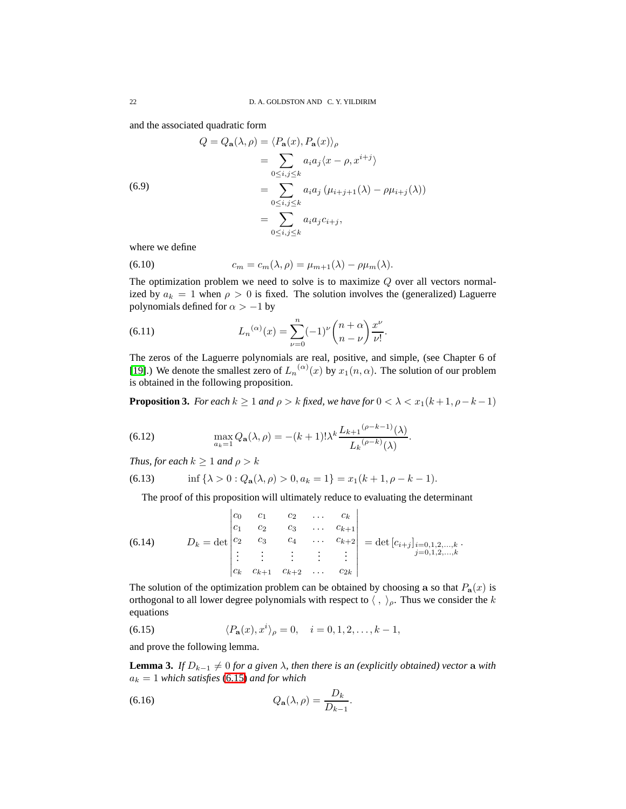<span id="page-21-2"></span>and the associated quadratic form

(6.9)  
\n
$$
Q = Q_{\mathbf{a}}(\lambda, \rho) = \langle P_{\mathbf{a}}(x), P_{\mathbf{a}}(x) \rangle_{\rho}
$$
\n
$$
= \sum_{0 \le i, j \le k} a_i a_j \langle x - \rho, x^{i+j} \rangle
$$
\n
$$
= \sum_{0 \le i, j \le k} a_i a_j \left( \mu_{i+j+1}(\lambda) - \rho \mu_{i+j}(\lambda) \right)
$$
\n
$$
= \sum_{0 \le i, j \le k} a_i a_j c_{i+j},
$$

<span id="page-21-4"></span>where we define

(6.10) 
$$
c_m = c_m(\lambda, \rho) = \mu_{m+1}(\lambda) - \rho \mu_m(\lambda).
$$

The optimization problem we need to solve is to maximize  $Q$  over all vectors normalized by  $a_k = 1$  when  $\rho > 0$  is fixed. The solution involves the (generalized) Laguerre polynomials defined for  $\alpha > -1$  by

(6.11) 
$$
L_n^{(\alpha)}(x) = \sum_{\nu=0}^n (-1)^{\nu} \binom{n+\alpha}{n-\nu} \frac{x^{\nu}}{\nu!}.
$$

The zeros of the Laguerre polynomials are real, positive, and simple, (see Chapter 6 of [\[19\]](#page-33-15).) We denote the smallest zero of  $L_n(\alpha)(x)$  by  $x_1(n, \alpha)$ . The solution of our problem is obtained in the following proposition.

<span id="page-21-3"></span>**Proposition 3.** *For each*  $k \geq 1$  *and*  $\rho > k$  *fixed, we have for*  $0 < \lambda < x_1(k+1, \rho - k - 1)$ 

(6.12) 
$$
\max_{a_k=1} Q_{\mathbf{a}}(\lambda, \rho) = -(k+1)! \lambda^k \frac{L_{k+1}(\rho - k-1)}{L_k(\rho - k)}(\lambda).
$$

*Thus, for each*  $k \geq 1$  *and*  $\rho > k$ 

(6.13) 
$$
\inf \{ \lambda > 0 : Q_{\mathbf{a}}(\lambda, \rho) > 0, a_k = 1 \} = x_1(k+1, \rho - k - 1).
$$

<span id="page-21-1"></span>The proof of this proposition will ultimately reduce to evaluating the determinant

(6.14) 
$$
D_k = \det \begin{vmatrix} c_0 & c_1 & c_2 & \dots & c_k \\ c_1 & c_2 & c_3 & \dots & c_{k+1} \\ c_2 & c_3 & c_4 & \dots & c_{k+2} \\ \vdots & \vdots & \vdots & \vdots & \vdots \\ c_k & c_{k+1} & c_{k+2} & \dots & c_{2k} \end{vmatrix} = \det [c_{i+j}]_{\substack{i=0,1,2,\dots,k \\ j=0,1,2,\dots,k}}
$$

<span id="page-21-0"></span>The solution of the optimization problem can be obtained by choosing a so that  $P_{a}(x)$  is orthogonal to all lower degree polynomials with respect to  $\langle , \rangle_{\rho}$ . Thus we consider the k equations

(6.15) 
$$
\langle P_{\mathbf{a}}(x), x^{i} \rangle_{\rho} = 0, \quad i = 0, 1, 2, ..., k - 1,
$$

and prove the following lemma.

**Lemma 3.** *If*  $D_{k-1} \neq 0$  *for a given*  $\lambda$ *, then there is an (explicitly obtained) vector* a *with*  $a_k = 1$  *which satisfies* [\(6.15\)](#page-21-0) *and for which* 

(6.16) 
$$
Q_{\mathbf{a}}(\lambda,\rho) = \frac{D_k}{D_{k-1}}.
$$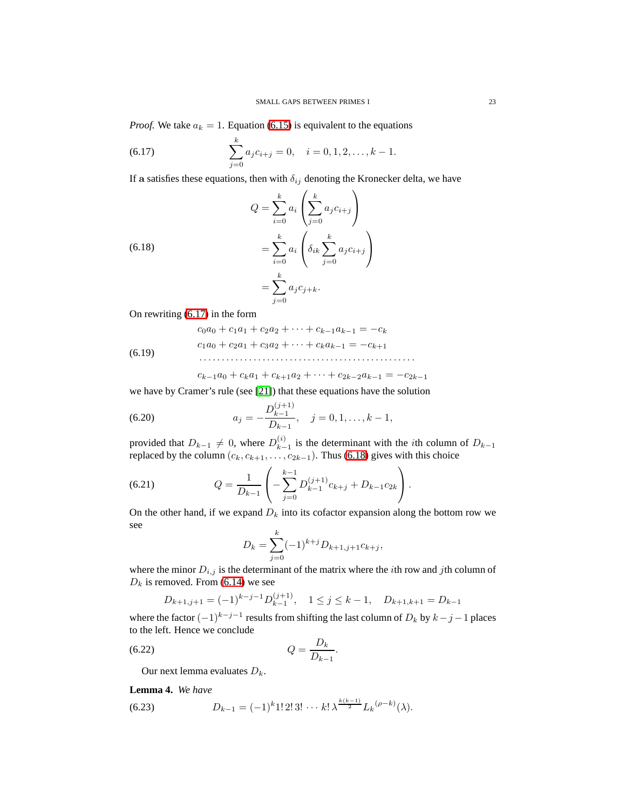<span id="page-22-0"></span>*Proof.* We take  $a_k = 1$ . Equation [\(6.15\)](#page-21-0) is equivalent to the equations

(6.17) 
$$
\sum_{j=0}^{k} a_j c_{i+j} = 0, \quad i = 0, 1, 2, \dots, k-1.
$$

<span id="page-22-1"></span>If a satisfies these equations, then with  $\delta_{ij}$  denoting the Kronecker delta, we have

(6.18)  
\n
$$
Q = \sum_{i=0}^{k} a_i \left( \sum_{j=0}^{k} a_j c_{i+j} \right)
$$
\n
$$
= \sum_{i=0}^{k} a_i \left( \delta_{ik} \sum_{j=0}^{k} a_j c_{i+j} \right)
$$
\n
$$
= \sum_{j=0}^{k} a_j c_{j+k}.
$$

On rewriting [\(6.17\)](#page-22-0) in the form

(6.19) 
$$
c_0a_0 + c_1a_1 + c_2a_2 + \cdots + c_{k-1}a_{k-1} = -c_k \nc_1a_0 + c_2a_1 + c_3a_2 + \cdots + c_ka_{k-1} = -c_{k+1} \cdots
$$

 $c_{k-1}a_0 + c_ka_1 + c_{k+1}a_2 + \cdots + c_{2k-2}a_{k-1} = -c_{2k-1}$ 

we have by Cramer's rule (see [\[21\]](#page-33-16)) that these equations have the solution

(6.20) 
$$
a_j = -\frac{D_{k-1}^{(j+1)}}{D_{k-1}}, \quad j = 0, 1, \dots, k-1,
$$

provided that  $D_{k-1} \neq 0$ , where  $D_{k-1}^{(i)}$  $\sum_{k-1}^{(i)}$  is the determinant with the *i*th column of  $D_{k-1}$ replaced by the column  $(c_k, c_{k+1}, \ldots, c_{2k-1})$ . Thus [\(6.18\)](#page-22-1) gives with this choice

(6.21) 
$$
Q = \frac{1}{D_{k-1}} \left( -\sum_{j=0}^{k-1} D_{k-1}^{(j+1)} c_{k+j} + D_{k-1} c_{2k} \right).
$$

On the other hand, if we expand  $D_k$  into its cofactor expansion along the bottom row we see

$$
D_k = \sum_{j=0}^k (-1)^{k+j} D_{k+1,j+1} c_{k+j},
$$

where the minor  $D_{i,j}$  is the determinant of the matrix where the *i*th row and *j*th column of  $D_k$  is removed. From [\(6.14\)](#page-21-1) we see

$$
D_{k+1,j+1} = (-1)^{k-j-1} D_{k-1}^{(j+1)}, \quad 1 \le j \le k-1, \quad D_{k+1,k+1} = D_{k-1}
$$

where the factor  $(-1)^{k-j-1}$  results from shifting the last column of  $D_k$  by  $k-j-1$  places to the left. Hence we conclude

$$
(6.22)\qquad \qquad Q = \frac{D_k}{D_{k-1}}.
$$

Our next lemma evaluates  $D_k$ .

**Lemma 4.** *We have*

(6.23) 
$$
D_{k-1} = (-1)^k 1! \, 2! \, 3! \, \cdots \, k! \, \lambda^{\frac{k(k-1)}{2}} L_k^{(\rho-k)}(\lambda).
$$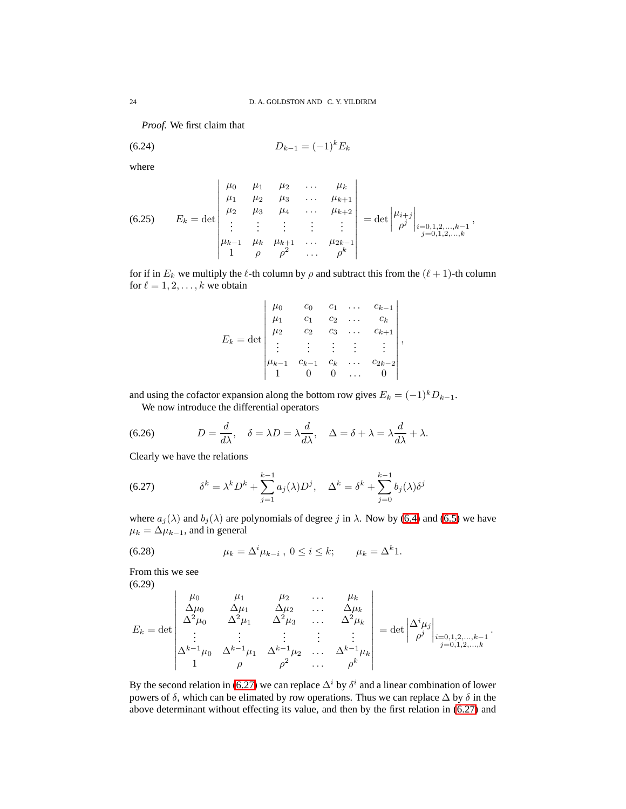$\mathbf{r}$ 

*Proof.* We first claim that

$$
(6.24) \t\t D_{k-1} = (-1)^k E_k
$$

 $\overline{a}$ 

where

(6.25) 
$$
E_k = \det \begin{vmatrix} \mu_0 & \mu_1 & \mu_2 & \dots & \mu_k \\ \mu_1 & \mu_2 & \mu_3 & \dots & \mu_{k+1} \\ \mu_2 & \mu_3 & \mu_4 & \dots & \mu_{k+2} \\ \vdots & \vdots & \vdots & \vdots & \vdots \\ \mu_{k-1} & \mu_k & \mu_{k+1} & \dots & \mu_{2k-1} \\ 1 & \rho & \rho^2 & \dots & \rho^k \end{vmatrix} = \det \begin{vmatrix} \mu_{i+j} \\ \rho^j \end{vmatrix}_{\substack{i=0,1,2,\dots,k-1 \\ j=0,1,2,\dots,k}} ,
$$

for if in  $E_k$  we multiply the  $\ell$ -th column by  $\rho$  and subtract this from the  $(\ell + 1)$ -th column for  $\ell = 1, 2, \ldots, k$  we obtain

$$
E_k = \det \begin{vmatrix} \mu_0 & c_0 & c_1 & \dots & c_{k-1} \\ \mu_1 & c_1 & c_2 & \dots & c_k \\ \mu_2 & c_2 & c_3 & \dots & c_{k+1} \\ \vdots & \vdots & \vdots & \vdots & \vdots \\ \mu_{k-1} & c_{k-1} & c_k & \dots & c_{2k-2} \\ 1 & 0 & 0 & \dots & 0 \end{vmatrix},
$$

and using the cofactor expansion along the bottom row gives  $E_k = (-1)^k D_{k-1}$ . We now introduce the differential operators

(6.26) 
$$
D = \frac{d}{d\lambda}, \quad \delta = \lambda D = \lambda \frac{d}{d\lambda}, \quad \Delta = \delta + \lambda = \lambda \frac{d}{d\lambda} + \lambda.
$$

<span id="page-23-0"></span>Clearly we have the relations

(6.27) 
$$
\delta^k = \lambda^k D^k + \sum_{j=1}^{k-1} a_j(\lambda) D^j, \quad \Delta^k = \delta^k + \sum_{j=0}^{k-1} b_j(\lambda) \delta^j
$$

where  $a_j(\lambda)$  and  $b_j(\lambda)$  are polynomials of degree j in  $\lambda$ . Now by [\(6.4\)](#page-19-0) and [\(6.5\)](#page-20-1) we have  $\mu_k = \Delta \mu_{k-1}$ , and in general

(6.28) 
$$
\mu_k = \Delta^i \mu_{k-i} , \ 0 \le i \le k; \qquad \mu_k = \Delta^k 1.
$$

From this we see (6.29)

$$
E_k = \det \begin{vmatrix} \mu_0 & \mu_1 & \mu_2 & \dots & \mu_k \\ \Delta \mu_0 & \Delta \mu_1 & \Delta \mu_2 & \dots & \Delta \mu_k \\ \Delta^2 \mu_0 & \Delta^2 \mu_1 & \Delta^2 \mu_3 & \dots & \Delta^2 \mu_k \\ \vdots & \vdots & \vdots & \vdots & \vdots \\ \Delta^{k-1} \mu_0 & \Delta^{k-1} \mu_1 & \Delta^{k-1} \mu_2 & \dots & \Delta^{k-1} \mu_k \\ 1 & \rho & \rho^2 & \dots & \rho^k \end{vmatrix} = \det \begin{vmatrix} \Delta^i \mu_j \\ \rho^j \end{vmatrix}_{i=0,1,2,\dots,k-1}.
$$

By the second relation in [\(6.27\)](#page-23-0) we can replace  $\Delta^i$  by  $\delta^i$  and a linear combination of lower powers of  $\delta$ , which can be elimated by row operations. Thus we can replace  $\Delta$  by  $\delta$  in the above determinant without effecting its value, and then by the first relation in [\(6.27\)](#page-23-0) and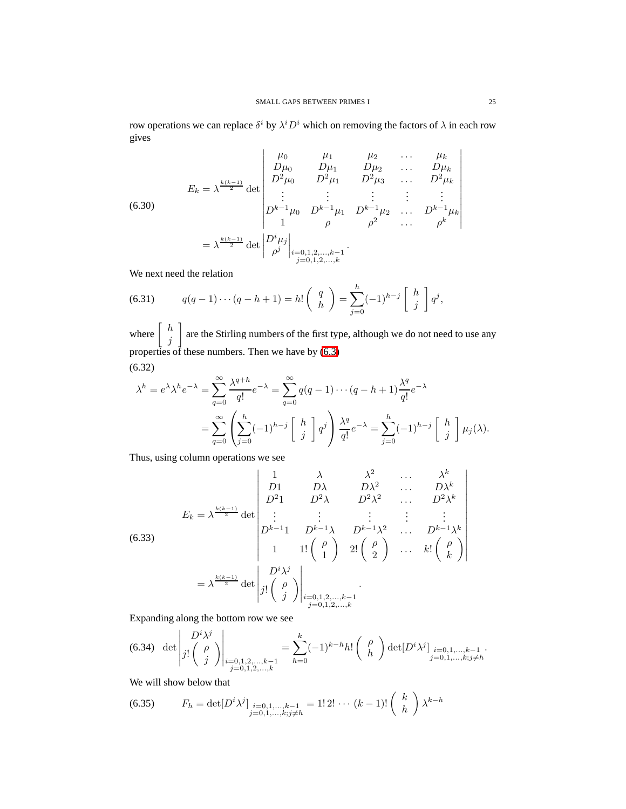row operations we can replace  $\delta^i$  by  $\lambda^i D^i$  which on removing the factors of  $\lambda$  in each row gives

(6.30)  
\n
$$
E_{k} = \lambda^{\frac{k(k-1)}{2}} \det \begin{vmatrix}\n\mu_{0} & \mu_{1} & \mu_{2} & \dots & \mu_{k} \\
D\mu_{0} & D\mu_{1} & D\mu_{2} & \dots & D\mu_{k} \\
D^{2}\mu_{0} & D^{2}\mu_{1} & D^{2}\mu_{3} & \dots & D^{2}\mu_{k} \\
\vdots & \vdots & \vdots & \vdots & \vdots \\
D^{k-1}\mu_{0} & D^{k-1}\mu_{1} & D^{k-1}\mu_{2} & \dots & D^{k-1}\mu_{k} \\
1 & \rho & \rho^{2} & \dots & \rho^{k}\n\end{vmatrix}
$$
\n
$$
= \lambda^{\frac{k(k-1)}{2}} \det \begin{vmatrix}\nD^{i}\mu_{j} \\
\rho^{j}\end{vmatrix}_{i=0,1,2,\dots,k-1}.
$$

We next need the relation

(6.31) 
$$
q(q-1)\cdots(q-h+1)=h!\begin{pmatrix} q \\ h \end{pmatrix}=\sum_{j=0}^h(-1)^{h-j}\begin{bmatrix} h \\ j \end{bmatrix}q^j,
$$

where  $\begin{bmatrix} h \\ h \end{bmatrix}$ j are the Stirling numbers of the first type, although we do not need to use any properties of these numbers. Then we have by  $(6.3)$ (6.32)

$$
\lambda^{h} = e^{\lambda} \lambda^{h} e^{-\lambda} = \sum_{q=0}^{\infty} \frac{\lambda^{q+h}}{q!} e^{-\lambda} = \sum_{q=0}^{\infty} q(q-1) \cdots (q-h+1) \frac{\lambda^{q}}{q!} e^{-\lambda}
$$

$$
= \sum_{q=0}^{\infty} \left( \sum_{j=0}^{h} (-1)^{h-j} \begin{bmatrix} h \\ j \end{bmatrix} q^{j} \right) \frac{\lambda^{q}}{q!} e^{-\lambda} = \sum_{j=0}^{h} (-1)^{h-j} \begin{bmatrix} h \\ j \end{bmatrix} \mu_{j}(\lambda).
$$

Thus, using column operations we see

(6.33)  
\n
$$
E_{k} = \lambda^{\frac{k(k-1)}{2}} \det \begin{vmatrix}\n1 & \lambda & \lambda^{2} & \cdots & \lambda^{k} \\
D1 & D\lambda & D\lambda^{2} & \cdots & D\lambda^{k} \\
D^{2}1 & D^{2}\lambda & D^{2}\lambda^{2} & \cdots & D^{2}\lambda^{k} \\
\vdots & \vdots & \vdots & \vdots & \vdots \\
D^{k-1}1 & D^{k-1}\lambda & D^{k-1}\lambda^{2} & \cdots & D^{k-1}\lambda^{k} \\
1 & 1!\begin{pmatrix} \rho \\ 1 \end{pmatrix} & 2!\begin{pmatrix} \rho \\ 2 \end{pmatrix} & \cdots & k!\begin{pmatrix} \rho \\ k \end{pmatrix} \\
\qquad = \lambda^{\frac{k(k-1)}{2}} \det \begin{vmatrix} D^{i}\lambda^{j} \\ j!\begin{pmatrix} \rho \\ j \end{pmatrix} \Big|_{\substack{i=0,1,2,\ldots,k-1 \\ j=0,1,2,\ldots,k}}.
$$

Expanding along the bottom row we see

$$
\text{(6.34)} \quad \det \left| \int_{j!}^{D^i \lambda^j} \left( \begin{array}{c} \rho \\ j \end{array} \right) \right|_{\substack{i=0,1,2,\ldots,k-1 \\ j=0,1,2,\ldots,k}} = \sum_{h=0}^k (-1)^{k-h} h! \left( \begin{array}{c} \rho \\ h \end{array} \right) \det [D^i \lambda^j]_{\substack{i=0,1,\ldots,k-1 \\ j=0,1,\ldots,k; j \neq h}}.
$$

<span id="page-24-0"></span>We will show below that

(6.35) 
$$
F_h = \det[D^i \lambda^j]_{\substack{i=0,1,\ldots,k-1 \ j=0,1,\ldots,k; j\neq h}} = 1! \, 2! \, \cdots \, (k-1)! \left(\begin{array}{c} k \\ h \end{array}\right) \lambda^{k-h}
$$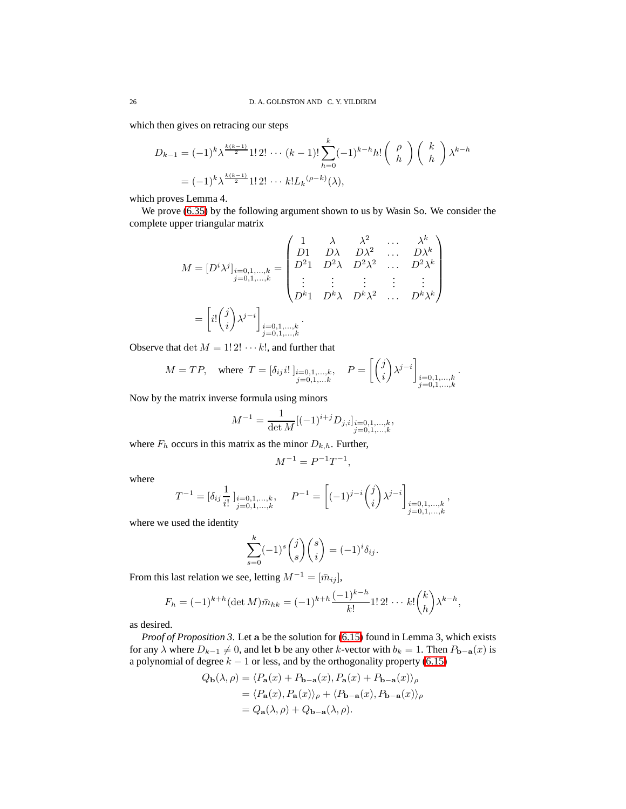which then gives on retracing our steps

$$
D_{k-1} = (-1)^k \lambda^{\frac{k(k-1)}{2}} 1! \, 2! \cdots (k-1)! \sum_{h=0}^k (-1)^{k-h} h! \binom{\rho}{h} \binom{k}{h} \lambda^{k-h}
$$

$$
= (-1)^k \lambda^{\frac{k(k-1)}{2}} 1! \, 2! \cdots k! L_k^{(\rho-k)}(\lambda),
$$

which proves Lemma 4.

We prove [\(6.35\)](#page-24-0) by the following argument shown to us by Wasin So. We consider the complete upper triangular matrix

$$
M = [D^i \lambda^j]_{\substack{i=0,1,\ldots,k \\ j=0,1,\ldots,k}} = \begin{pmatrix} 1 & \lambda & \lambda^2 & \ldots & \lambda^k \\ D1 & D\lambda & D\lambda^2 & \ldots & D\lambda^k \\ D^21 & D^2\lambda & D^2\lambda^2 & \ldots & D^2\lambda^k \\ \vdots & \vdots & \vdots & \vdots & \vdots \\ D^k1 & D^k\lambda & D^k\lambda^2 & \ldots & D^k\lambda^k \end{pmatrix}
$$

$$
= \left[ i! \binom{j}{i} \lambda^{j-i} \right]_{\substack{i=0,1,\ldots,k \\ j=0,1,\ldots,k}}.
$$

Observe that det  $M = 1! 2! \cdots k!$ , and further that

$$
M = TP, \text{ where } T = [\delta_{ij} i!]_{i=0,1,...,k}, \quad P = \left[ \binom{j}{i} \lambda^{j-i} \right]_{\substack{i=0,1,...,k}, \atop j=0,1,...,k}.
$$

Now by the matrix inverse formula using minors

$$
M^{-1} = \frac{1}{\det M} [(-1)^{i+j} D_{j,i}]_{\substack{i=0,1,\ldots,k \\ j=0,1,\ldots,k}}
$$

where  $F_h$  occurs in this matrix as the minor  $D_{k,h}$ . Further,

$$
M^{-1} = P^{-1}T^{-1},
$$

where

$$
T^{-1} = [\delta_{ij} \frac{1}{i!} \big|_{\substack{i=0,1,\dots,k \\ j=0,1,\dots,k}} \quad P^{-1} = \left[ (-1)^{j-i} \binom{j}{i} \lambda^{j-i} \right]_{\substack{i=0,1,\dots,k \\ j=0,1,\dots,k}},
$$

where we used the identity

$$
\sum_{s=0}^k (-1)^s \binom{j}{s} \binom{s}{i} = (-1)^i \delta_{ij}.
$$

From this last relation we see, letting  $M^{-1} = [\bar{m}_{ij}],$ 

$$
F_h = (-1)^{k+h} (\det M)\bar{m}_{hk} = (-1)^{k+h} \frac{(-1)^{k-h}}{k!} 1! \, 2! \, \cdots \, k! {k \choose h} \lambda^{k-h},
$$

as desired.

*Proof of Proposition 3*. Let a be the solution for [\(6.15\)](#page-21-0) found in Lemma 3, which exists for any  $\lambda$  where  $D_{k-1} \neq 0$ , and let b be any other k-vector with  $b_k = 1$ . Then  $P_{\mathbf{b}-\mathbf{a}}(x)$  is a polynomial of degree  $k - 1$  or less, and by the orthogonality property [\(6.15\)](#page-21-0)

$$
Q_{\mathbf{b}}(\lambda, \rho) = \langle P_{\mathbf{a}}(x) + P_{\mathbf{b}-\mathbf{a}}(x), P_{\mathbf{a}}(x) + P_{\mathbf{b}-\mathbf{a}}(x) \rangle_{\rho}
$$
  
=  $\langle P_{\mathbf{a}}(x), P_{\mathbf{a}}(x) \rangle_{\rho} + \langle P_{\mathbf{b}-\mathbf{a}}(x), P_{\mathbf{b}-\mathbf{a}}(x) \rangle_{\rho}$   
=  $Q_{\mathbf{a}}(\lambda, \rho) + Q_{\mathbf{b}-\mathbf{a}}(\lambda, \rho).$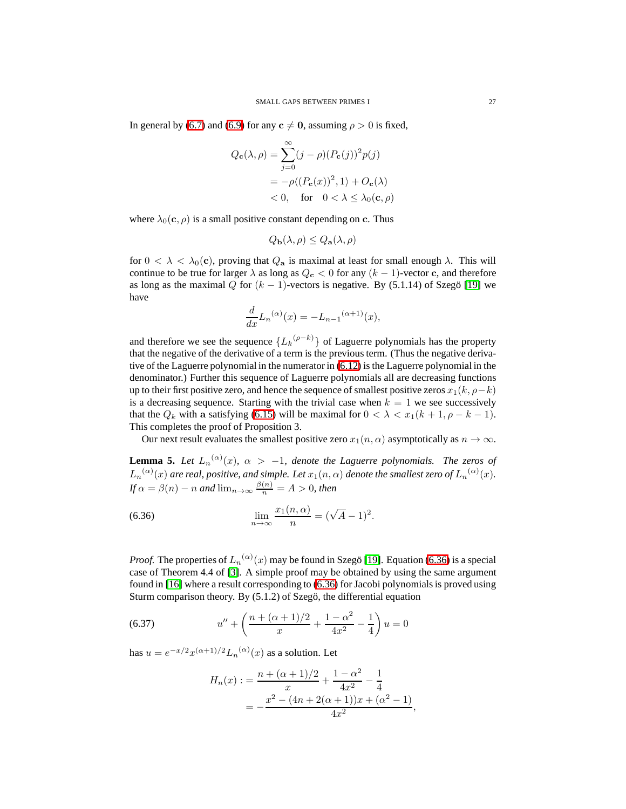In general by [\(6.7\)](#page-20-2) and [\(6.9\)](#page-21-2) for any  $c \neq 0$ , assuming  $\rho > 0$  is fixed,

$$
Q_{\mathbf{c}}(\lambda, \rho) = \sum_{j=0}^{\infty} (j - \rho)(P_{\mathbf{c}}(j))^2 p(j)
$$
  
=  $-\rho \langle (P_{\mathbf{c}}(x))^2, 1 \rangle + O_{\mathbf{c}}(\lambda)$   
< 0, for  $0 < \lambda \le \lambda_0(\mathbf{c}, \rho)$ 

where  $\lambda_0(c, \rho)$  is a small positive constant depending on c. Thus

$$
Q_{\mathbf{b}}(\lambda,\rho) \leq Q_{\mathbf{a}}(\lambda,\rho)
$$

for  $0 < \lambda < \lambda_0(c)$ , proving that  $Q_a$  is maximal at least for small enough  $\lambda$ . This will continue to be true for larger  $\lambda$  as long as  $Q_c < 0$  for any  $(k - 1)$ -vector c, and therefore as long as the maximal Q for  $(k - 1)$ -vectors is negative. By (5.1.14) of Szegö [\[19\]](#page-33-15) we have

$$
\frac{d}{dx}L_n^{(\alpha)}(x) = -L_{n-1}^{(\alpha+1)}(x),
$$

and therefore we see the sequence  $\{L_k^{(\rho-k)}\}$  of Laguerre polynomials has the property that the negative of the derivative of a term is the previous term. (Thus the negative derivative of the Laguerre polynomial in the numerator in [\(6.12\)](#page-21-3) isthe Laguerre polynomial in the denominator.) Further this sequence of Laguerre polynomials all are decreasing functions up to their first positive zero, and hence the sequence of smallest positive zeros  $x_1(k, \rho - k)$ is a decreasing sequence. Starting with the trivial case when  $k = 1$  we see successively that the  $Q_k$  with a satisfying [\(6.15\)](#page-21-0) will be maximal for  $0 < \lambda < x_1(k + 1, \rho - k - 1)$ . This completes the proof of Proposition 3.

<span id="page-26-0"></span>Our next result evaluates the smallest positive zero  $x_1(n, \alpha)$  asymptotically as  $n \to \infty$ .

**Lemma 5.** Let  $L_n^{(\alpha)}(x)$ ,  $\alpha > -1$ , denote the Laguerre polynomials. The zeros of  $L_n^{(\alpha)}(x)$  are real, positive, and simple. Let  $x_1(n,\alpha)$  denote the smallest zero of  $L_n^{(\alpha)}(x)$ . *If*  $\alpha = \beta(n) - n$  and  $\lim_{n \to \infty} \frac{\beta(n)}{n} = A > 0$ , then

(6.36) 
$$
\lim_{n \to \infty} \frac{x_1(n, \alpha)}{n} = (\sqrt{A} - 1)^2.
$$

*Proof.* The properties of  $L_n({\alpha})$  (x) may be found in Szegö [\[19\]](#page-33-15). Equation [\(6.36\)](#page-26-0) is a special case of Theorem 4.4 of [\[3\]](#page-33-17). A simple proof may be obtained by using the same argument found in [\[16\]](#page-33-18) where a result corresponding to [\(6.36\)](#page-26-0) for Jacobi polynomials is proved using Sturm comparison theory. By  $(5.1.2)$  of Szegö, the differential equation

(6.37) 
$$
u'' + \left(\frac{n + (\alpha + 1)/2}{x} + \frac{1 - \alpha^2}{4x^2} - \frac{1}{4}\right)u = 0
$$

has  $u = e^{-x/2} x^{(\alpha+1)/2} L_n^{(\alpha)}(x)$  as a solution. Let

$$
H_n(x) := \frac{n + (\alpha + 1)/2}{x} + \frac{1 - \alpha^2}{4x^2} - \frac{1}{4}
$$
  
= 
$$
-\frac{x^2 - (4n + 2(\alpha + 1))x + (\alpha^2 - 1)}{4x^2},
$$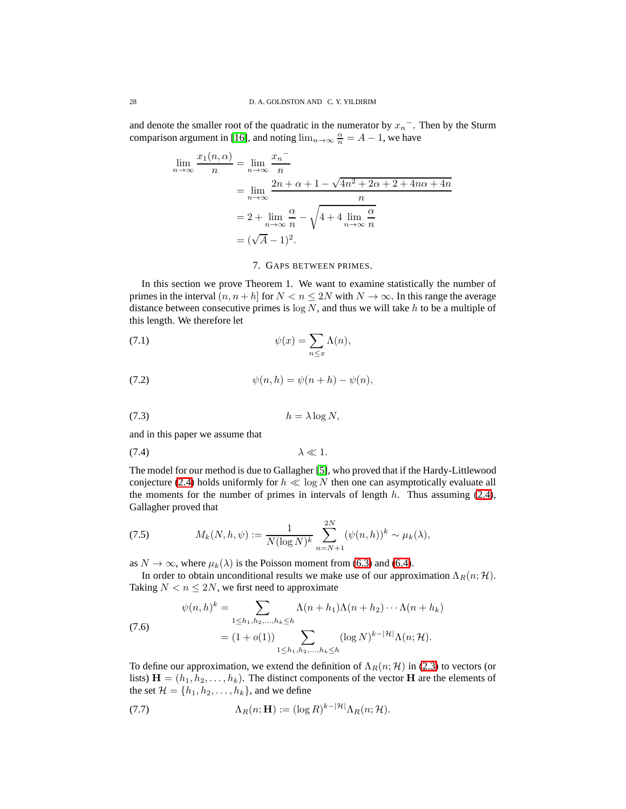and denote the smaller root of the quadratic in the numerator by  $x_n^-$ . Then by the Sturm comparison argument in [\[16\]](#page-33-18), and noting  $\lim_{n\to\infty} \frac{\alpha}{n} = A - 1$ , we have

$$
\lim_{n \to \infty} \frac{x_1(n, \alpha)}{n} = \lim_{n \to \infty} \frac{x_n^{-}}{n}
$$

$$
= \lim_{n \to \infty} \frac{2n + \alpha + 1 - \sqrt{4n^2 + 2\alpha + 2 + 4n\alpha + 4n}}{n}
$$

$$
= 2 + \lim_{n \to \infty} \frac{\alpha}{n} - \sqrt{4 + 4 \lim_{n \to \infty} \frac{\alpha}{n}}
$$

$$
= (\sqrt{A} - 1)^2.
$$

## 7. GAPS BETWEEN PRIMES.

In this section we prove Theorem 1. We want to examine statistically the number of primes in the interval  $(n, n + h]$  for  $N < n \leq 2N$  with  $N \to \infty$ . In this range the average distance between consecutive primes is  $\log N$ , and thus we will take h to be a multiple of this length. We therefore let

(7.1) 
$$
\psi(x) = \sum_{n \le x} \Lambda(n),
$$

<span id="page-27-1"></span>(7.2) 
$$
\psi(n,h) = \psi(n+h) - \psi(n),
$$

<span id="page-27-2"></span>
$$
(7.3) \t\t\t h = \lambda \log N,
$$

and in this paper we assume that

$$
\lambda \ll 1.
$$

The model for our method is due to Gallagher [\[5\]](#page-33-19), who proved that if the Hardy-Littlewood conjecture [\(2.4\)](#page-3-1) holds uniformly for  $h \ll \log N$  then one can asymptotically evaluate all the moments for the number of primes in intervals of length  $h$ . Thus assuming [\(2.4\)](#page-3-1), Gallagher proved that

(7.5) 
$$
M_k(N, h, \psi) := \frac{1}{N(\log N)^k} \sum_{n=N+1}^{2N} (\psi(n, h))^k \sim \mu_k(\lambda),
$$

as  $N \to \infty$ , where  $\mu_k(\lambda)$  is the Poisson moment from [\(6.3\)](#page-19-1) and [\(6.4\)](#page-19-0).

<span id="page-27-3"></span>In order to obtain unconditional results we make use of our approximation  $\Lambda_R(n; \mathcal{H})$ . Taking  $N < n \leq 2N$ , we first need to approximate

(7.6)  

$$
\psi(n,h)^k = \sum_{1 \le h_1, h_2, \dots, h_k \le h} \Lambda(n+h_1) \Lambda(n+h_2) \cdots \Lambda(n+h_k)
$$

$$
= (1+o(1)) \sum_{1 \le h_1, h_2, \dots, h_k \le h} (\log N)^{k-|\mathcal{H}|} \Lambda(n; \mathcal{H}).
$$

<span id="page-27-0"></span>To define our approximation, we extend the definition of  $\Lambda_R(n; \mathcal{H})$  in [\(2.3\)](#page-3-3) to vectors (or lists)  $\mathbf{H} = (h_1, h_2, \dots, h_k)$ . The distinct components of the vector **H** are the elements of the set  $\mathcal{H} = \{h_1, h_2, \dots, h_k\}$ , and we define

(7.7) 
$$
\Lambda_R(n; \mathbf{H}) := (\log R)^{k - |\mathcal{H}|} \Lambda_R(n; \mathcal{H}).
$$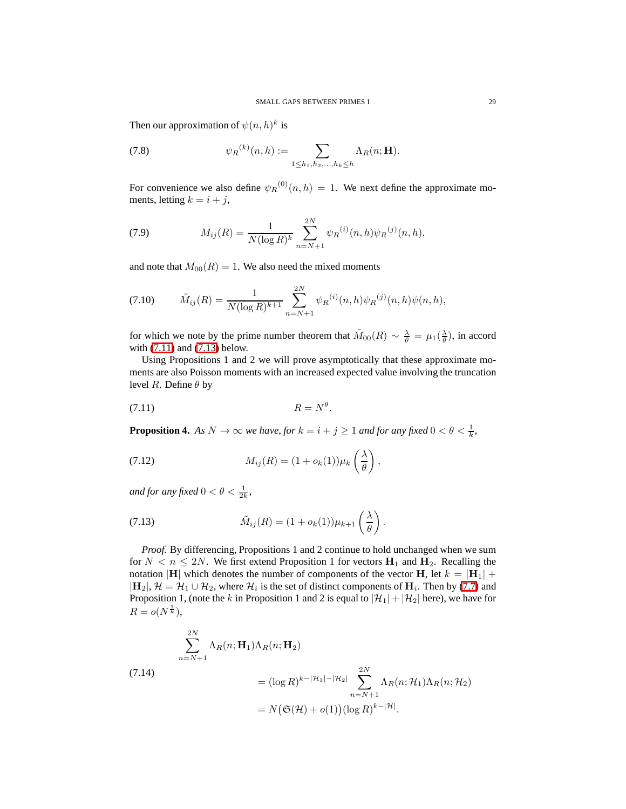Then our approximation of  $\psi(n, h)^k$  is

(7.8) 
$$
\psi_R^{(k)}(n,h) := \sum_{1 \le h_1, h_2, ..., h_k \le h} \Lambda_R(n; \mathbf{H}).
$$

For convenience we also define  $\psi_R^{(0)}(n, h) = 1$ . We next define the approximate moments, letting  $k = i + j$ ,

(7.9) 
$$
M_{ij}(R) = \frac{1}{N(\log R)^k} \sum_{n=N+1}^{2N} \psi_R^{(i)}(n,h)\psi_R^{(j)}(n,h),
$$

and note that  $M_{00}(R) = 1$ . We also need the mixed moments

(7.10) 
$$
\tilde{M}_{ij}(R) = \frac{1}{N(\log R)^{k+1}} \sum_{n=N+1}^{2N} \psi_R^{(i)}(n,h) \psi_R^{(j)}(n,h) \psi(n,h),
$$

for which we note by the prime number theorem that  $\tilde{M}_{00}(R) \sim \frac{\lambda}{\theta} = \mu_1(\frac{\lambda}{\theta})$ , in accord with [\(7.11\)](#page-28-0) and [\(7.13\)](#page-28-1) below.

<span id="page-28-0"></span>Using Propositions 1 and 2 we will prove asymptotically that these approximate moments are also Poisson moments with an increased expected value involving the truncation level  $R$ . Define  $\theta$  by

$$
(7.11) \t\t R = N^{\theta}.
$$

**Proposition 4.** As  $N \to \infty$  we have, for  $k = i + j \geq 1$  and for any fixed  $0 < \theta < \frac{1}{k}$ ,

(7.12) 
$$
M_{ij}(R) = (1 + o_k(1))\mu_k\left(\frac{\lambda}{\theta}\right),
$$

<span id="page-28-1"></span>*and for any fixed*  $0 < \theta < \frac{1}{2k}$ ,

(7.13) 
$$
\tilde{M}_{ij}(R) = (1 + o_k(1))\mu_{k+1}\left(\frac{\lambda}{\theta}\right).
$$

*Proof.* By differencing, Propositions 1 and 2 continue to hold unchanged when we sum for  $N < n \le 2N$ . We first extend Proposition 1 for vectors  $H_1$  and  $H_2$ . Recalling the notation |H| which denotes the number of components of the vector H, let  $k = |H_1| +$  $|\mathbf{H}_2|$ ,  $\mathcal{H} = \mathcal{H}_1 \cup \mathcal{H}_2$ , where  $\mathcal{H}_i$  is the set of distinct components of  $\mathbf{H}_i$ . Then by [\(7.7\)](#page-27-0) and Proposition 1, (note the k in Proposition 1 and 2 is equal to  $|\mathcal{H}_1| + |\mathcal{H}_2|$  here), we have for  $R = o(N^{\frac{1}{k}}),$ 

(7.14)  
\n
$$
\sum_{n=N+1}^{2N} \Lambda_R(n; \mathbf{H}_1) \Lambda_R(n; \mathbf{H}_2)
$$
\n
$$
= (\log R)^{k-|\mathcal{H}_1| - |\mathcal{H}_2|} \sum_{n=N+1}^{2N} \Lambda_R(n; \mathcal{H}_1) \Lambda_R(n; \mathcal{H}_2)
$$
\n
$$
= N \big( \mathfrak{S}(\mathcal{H}) + o(1) \big) (\log R)^{k-|\mathcal{H}|}.
$$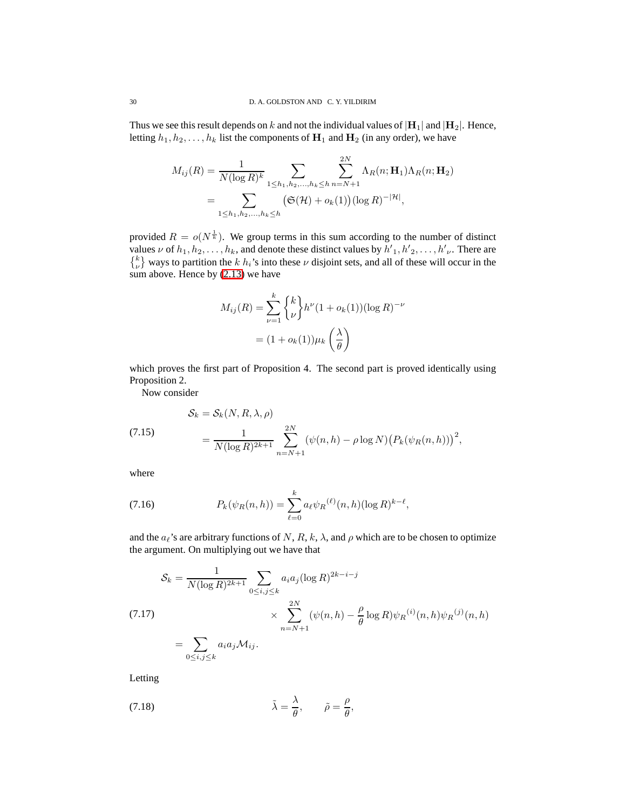Thus we see this result depends on k and not the individual values of  $|H_1|$  and  $|H_2|$ . Hence, letting  $h_1, h_2, \ldots, h_k$  list the components of  $H_1$  and  $H_2$  (in any order), we have

$$
M_{ij}(R) = \frac{1}{N(\log R)^k} \sum_{1 \le h_1, h_2, ..., h_k \le h} \sum_{n=N+1}^{2N} \Lambda_R(n; \mathbf{H}_1) \Lambda_R(n; \mathbf{H}_2)
$$
  
= 
$$
\sum_{1 \le h_1, h_2, ..., h_k \le h} (\mathfrak{S}(\mathcal{H}) + o_k(1)) (\log R)^{-|\mathcal{H}|},
$$

provided  $R = o(N^{\frac{1}{k}})$ . We group terms in this sum according to the number of distinct values  $\nu$  of  $h_1, h_2, \ldots, h_k$ , and denote these distinct values by  $h'_1, h'_2, \ldots, h'_\nu$ . There are  $\{k \atop \nu}$  ways to partition the k  $h_i$ 's into these  $\nu$  disjoint sets, and all of these will occur in the sum above. Hence by  $(2.13)$  we have

$$
M_{ij}(R) = \sum_{\nu=1}^{k} \binom{k}{\nu} h^{\nu} (1 + o_k(1)) (\log R)^{-\nu}
$$

$$
= (1 + o_k(1)) \mu_k \left(\frac{\lambda}{\theta}\right)
$$

which proves the first part of Proposition 4. The second part is proved identically using Proposition 2.

Now consider

(7.15) 
$$
\mathcal{S}_k = \mathcal{S}_k(N, R, \lambda, \rho) \n= \frac{1}{N(\log R)^{2k+1}} \sum_{n=N+1}^{2N} (\psi(n, h) - \rho \log N) (P_k(\psi_R(n, h)))^2,
$$

where

(7.16) 
$$
P_k(\psi_R(n,h)) = \sum_{\ell=0}^k a_\ell \psi_R^{(\ell)}(n,h) (\log R)^{k-\ell},
$$

and the  $a_{\ell}$ 's are arbitrary functions of N, R, k,  $\lambda$ , and  $\rho$  which are to be chosen to optimize the argument. On multiplying out we have that

$$
\mathcal{S}_k = \frac{1}{N(\log R)^{2k+1}} \sum_{0 \le i,j \le k} a_i a_j (\log R)^{2k-i-j}
$$
  

$$
\times \sum_{n=N+1}^{2N} (\psi(n,h) - \frac{\rho}{\theta} \log R) \psi_R^{(i)}(n,h) \psi_R^{(j)}(n,h)
$$

$$
= \sum_{0 \le i,j \le k} a_i a_j \mathcal{M}_{ij}.
$$

Letting

(7.18) 
$$
\tilde{\lambda} = \frac{\lambda}{\theta}, \qquad \tilde{\rho} = \frac{\rho}{\theta},
$$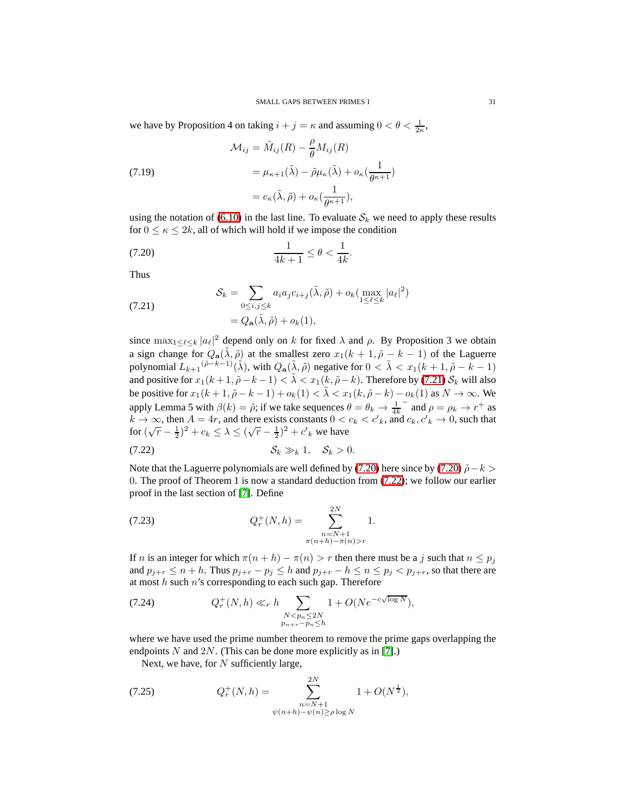we have by Proposition 4 on taking  $i + j = \kappa$  and assuming  $0 < \theta < \frac{1}{2\kappa}$ ,

(7.19)  
\n
$$
\mathcal{M}_{ij} = \tilde{M}_{ij}(R) - \frac{\rho}{\theta} M_{ij}(R)
$$
\n
$$
= \mu_{\kappa+1}(\tilde{\lambda}) - \tilde{\rho}\mu_{\kappa}(\tilde{\lambda}) + o_{\kappa}(\frac{1}{\theta^{\kappa+1}})
$$
\n
$$
= c_{\kappa}(\tilde{\lambda}, \tilde{\rho}) + o_{\kappa}(\frac{1}{\theta^{\kappa+1}}),
$$

using the notation of [\(6.10\)](#page-21-4) in the last line. To evaluate  $S_k$  we need to apply these results for  $0 \le \kappa \le 2k$ , all of which will hold if we impose the condition

<span id="page-30-1"></span>.

<span id="page-30-0"></span>(7.20)

\n
$$
\frac{1}{4k+1} \leq \theta < \frac{1}{4k}
$$

Thus

(7.21) 
$$
\mathcal{S}_k = \sum_{0 \le i,j \le k} a_i a_j c_{i+j} (\tilde{\lambda}, \tilde{\rho}) + o_k (\max_{1 \le \ell \le k} |a_{\ell}|^2)
$$

$$
= Q_{\mathbf{a}}(\tilde{\lambda}, \tilde{\rho}) + o_k(1),
$$

since  $\max_{1 \leq \ell \leq k} |a_{\ell}|^2$  depend only on k for fixed  $\lambda$  and  $\rho$ . By Proposition 3 we obtain a sign change for  $Q_{\bf a}(\tilde{\lambda}, \tilde{\rho})$  at the smallest zero  $x_1(k + 1, \tilde{\rho} - k - 1)$  of the Laguerre polynomial  $L_{k+1}(\tilde{\rho}^{-k-1})(\tilde{\lambda})$ , with  $Q_{\mathbf{a}}(\tilde{\lambda}, \tilde{\rho})$  negative for  $0 < \tilde{\lambda} < x_1(k+1, \tilde{\rho} - k - 1)$ and positive for  $x_1(k+1, \tilde{\rho}-k-1) < \tilde{\lambda} < x_1(k, \tilde{\rho}-k)$ . Therefore by [\(7.21\)](#page-30-0)  $\mathcal{S}_k$  will also be positive for  $x_1(k+1, \tilde{\rho}-k-1)+o_k(1)<\tilde{\lambda} < x_1(k, \tilde{\rho}-k)-o_k(1)$  as  $N \to \infty$ . We apply Lemma 5 with  $\beta(k) = \tilde{\rho}$ ; if we take sequences  $\theta = \theta_k \rightarrow \frac{1}{4k}$  and  $\rho = \rho_k \rightarrow r^+$  as  $k \to \infty$ , then  $A = 4r$ , and there exists constants  $0 < c_k < c'_{k}$ , and  $c_k, c'_{k} \to 0$ , such that for  $(\sqrt{r} - \frac{1}{2})^2 + c_k \le \lambda \le (\sqrt{r} - \frac{1}{2})^2 + c'_k$  we have

<span id="page-30-2"></span>
$$
(7.22) \t S_k \gg_k 1, S_k > 0.
$$

Note that the Laguerre polynomials are well defined by [\(7.20\)](#page-30-1) here since by (7.20)  $\tilde{\rho}$  − k > 0. The proof of Theorem 1 is now a standard deduction from [\(7.22\)](#page-30-2); we follow our earlier proof in the last section of [\[7\]](#page-33-1). Define

(7.23) 
$$
Q_r^+(N,h) = \sum_{\substack{n=N+1 \ \pi(n+h)-\pi(n)>r}}^{2N} 1.
$$

<span id="page-30-4"></span>If n is an integer for which  $\pi(n+h) - \pi(n) > r$  then there must be a j such that  $n \leq p_i$ and  $p_{j+r} \le n + h$ . Thus  $p_{j+r} - p_j \le h$  and  $p_{j+r} - h \le n \le p_j < p_{j+r}$ , so that there are at most  $h$  such  $n$ 's corresponding to each such gap. Therefore

(7.24) 
$$
Q_r^+(N,h) \ll_r h \sum_{\substack{N < p_n \leq 2N \\ p_{n+r} - p_n \leq h}} 1 + O(Ne^{-c\sqrt{\log N}}),
$$

where we have used the prime number theorem to remove the prime gaps overlapping the endpoints N and  $2N$ . (This can be done more explicitly as in [\[7\]](#page-33-1).)

<span id="page-30-3"></span>Next, we have, for  $N$  sufficiently large,

(7.25) 
$$
Q_r^+(N,h) = \sum_{\substack{n=N+1\\ \psi(n+h)-\psi(n)\geq \rho \log N}}^{2N} 1 + O(N^{\frac{1}{2}}),
$$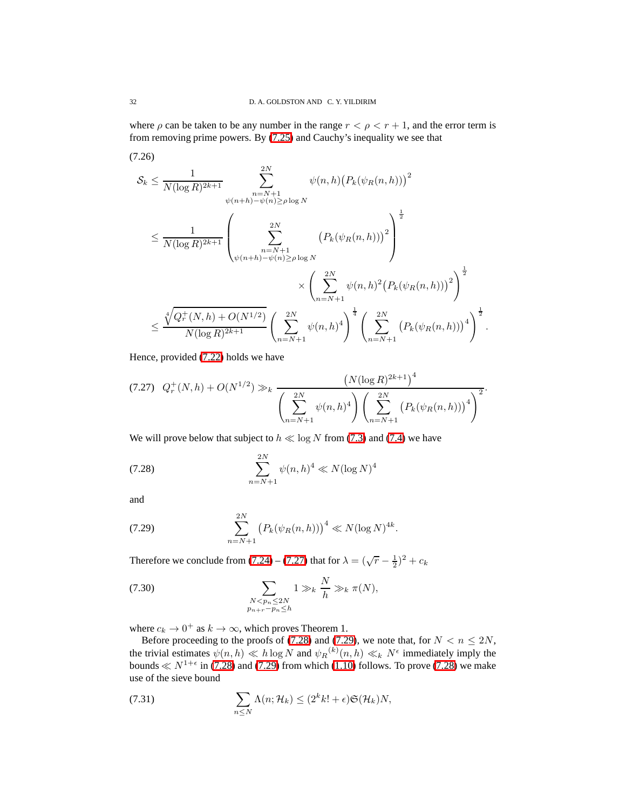where  $\rho$  can be taken to be any number in the range  $r < \rho < r + 1$ , and the error term is from removing prime powers. By [\(7.25\)](#page-30-3) and Cauchy's inequality we see that

$$
(7.26)
$$
\n
$$
\mathcal{S}_{k} \leq \frac{1}{N(\log R)^{2k+1}} \sum_{\psi(n+h)-\psi(n) \geq \rho \log N}^{\infty} \psi(n,h) \left( P_{k}(\psi_{R}(n,h)) \right)^{2}
$$
\n
$$
\leq \frac{1}{N(\log R)^{2k+1}} \left( \sum_{\substack{n=N+1 \\ \psi(n+h)-\psi(n) \geq \rho \log N}}^{\infty} \left( P_{k}(\psi_{R}(n,h)) \right)^{2} \right)^{\frac{1}{2}}
$$
\n
$$
\times \left( \sum_{n=N+1}^{2N} \psi(n,h)^{2} \left( P_{k}(\psi_{R}(n,h)) \right)^{2} \right)^{\frac{1}{2}}
$$
\n
$$
\leq \frac{\sqrt[4]{Q_{r}^{+}(N,h) + O(N^{1/2})}}{N(\log R)^{2k+1}} \left( \sum_{n=N+1}^{2N} \psi(n,h)^{4} \right)^{\frac{1}{4}} \left( \sum_{n=N+1}^{2N} \left( P_{k}(\psi_{R}(n,h)) \right)^{4} \right)^{\frac{1}{2}}.
$$

<span id="page-31-0"></span>Hence, provided [\(7.22\)](#page-30-2) holds we have

$$
(7.27) \quad Q_r^+(N,h) + O(N^{1/2}) \gg_k \frac{\left(N(\log R)^{2k+1}\right)^4}{\left(\sum_{n=N+1}^{2N} \psi(n,h)^4\right) \left(\sum_{n=N+1}^{2N} \left(P_k(\psi_R(n,h))\right)^4\right)^2}.
$$

<span id="page-31-1"></span>We will prove below that subject to  $h \ll \log N$  from [\(7.3\)](#page-27-1) and [\(7.4\)](#page-27-2) we have

(7.28) 
$$
\sum_{n=N+1}^{2N} \psi(n,h)^4 \ll N(\log N)^4
$$

<span id="page-31-2"></span>and

(7.29) 
$$
\sum_{n=N+1}^{2N} (P_k(\psi_R(n,h)))^4 \ll N(\log N)^{4k}.
$$

Therefore we conclude from [\(7.24\)](#page-30-4) – [\(7.27\)](#page-31-0) that for  $\lambda = (\sqrt{r} - \frac{1}{2})^2 + c_k$ 

(7.30) 
$$
\sum_{\substack{N < p_n \leq 2N \\ p_{n+r} - p_n \leq h}} 1 \gg_k \frac{N}{h} \gg_k \pi(N),
$$

where  $c_k \to 0^+$  as  $k \to \infty$ , which proves Theorem 1.

Before proceeding to the proofs of [\(7.28\)](#page-31-1) and [\(7.29\)](#page-31-2), we note that, for  $N < n \le 2N$ , the trivial estimates  $\psi(n, h) \ll h \log N$  and  $\psi_R^{(k)}(n, h) \ll_k N^{\epsilon}$  immediately imply the bounds  $\ll N^{1+\epsilon}$  in [\(7.28\)](#page-31-1) and [\(7.29\)](#page-31-2) from which [\(1.10\)](#page-2-0) follows. To prove (7.28) we make use of the sieve bound

(7.31) 
$$
\sum_{n\leq N} \Lambda(n; \mathcal{H}_k) \leq (2^k k! + \epsilon) \mathfrak{S}(\mathcal{H}_k) N,
$$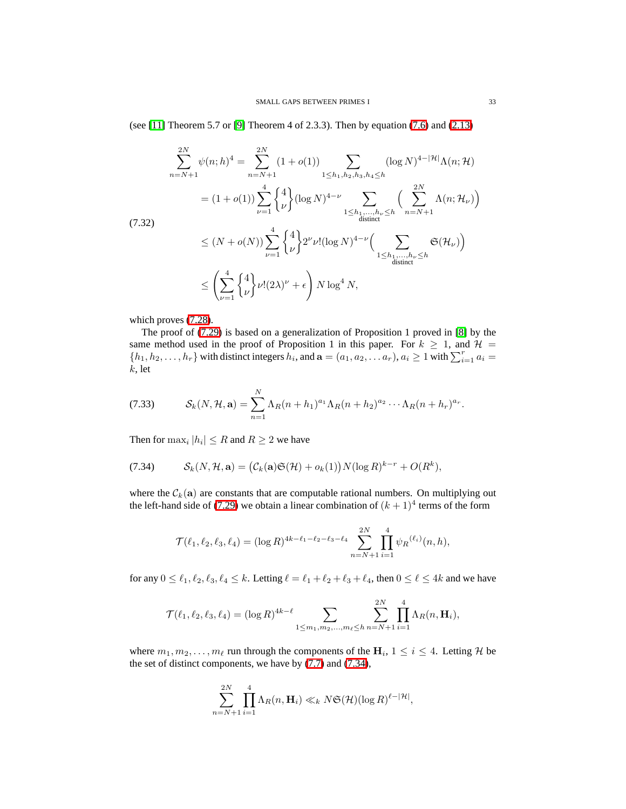(see [\[11\]](#page-33-5) Theorem 5.7 or [\[9\]](#page-33-4) Theorem 4 of 2.3.3). Then by equation [\(7.6\)](#page-27-3) and [\(2.13\)](#page-4-2)

$$
\sum_{n=N+1}^{2N} \psi(n; h)^4 = \sum_{n=N+1}^{2N} (1 + o(1)) \sum_{1 \le h_1, h_2, h_3, h_4 \le h} (\log N)^{4-|\mathcal{H}|} \Lambda(n; \mathcal{H})
$$
  
\n
$$
= (1 + o(1)) \sum_{\nu=1}^{4} \binom{4}{\nu} (\log N)^{4-\nu} \sum_{\substack{1 \le h_1, \dots, h_\nu \le h \\ \text{distinct}}} \left( \sum_{n=N+1}^{2N} \Lambda(n; \mathcal{H}_\nu) \right)
$$
  
\n(7.32)  
\n
$$
\le (N + o(N)) \sum_{\nu=1}^{4} \binom{4}{\nu} 2^{\nu} \nu! (\log N)^{4-\nu} \left( \sum_{\substack{1 \le h_1, \dots, h_\nu \le h \\ \text{distinct}}} \mathfrak{S}(\mathcal{H}_\nu) \right)
$$
  
\n
$$
\le \left( \sum_{\nu=1}^{4} \binom{4}{\nu} \nu! (2\lambda)^\nu + \epsilon \right) N \log^4 N,
$$

which proves [\(7.28\)](#page-31-1).

The proof of [\(7.29\)](#page-31-2) is based on a generalization of Proposition 1 proved in [\[8\]](#page-33-10) by the same method used in the proof of Proposition 1 in this paper. For  $k \geq 1$ , and  $\mathcal{H} =$  $\{h_1, h_2, \ldots, h_r\}$  with distinct integers  $h_i$ , and  $\mathbf{a} = (a_1, a_2, \ldots, a_r), a_i \geq 1$  with  $\sum_{i=1}^r a_i =$  $k$ , let

(7.33) 
$$
\mathcal{S}_k(N, \mathcal{H}, \mathbf{a}) = \sum_{n=1}^N \Lambda_R(n+h_1)^{a_1} \Lambda_R(n+h_2)^{a_2} \cdots \Lambda_R(n+h_r)^{a_r}.
$$

<span id="page-32-0"></span>Then for  $\max_i |h_i| \leq R$  and  $R \geq 2$  we have

(7.34) 
$$
\mathcal{S}_k(N, \mathcal{H}, \mathbf{a}) = \big(\mathcal{C}_k(\mathbf{a})\mathfrak{S}(\mathcal{H}) + o_k(1)\big)N(\log R)^{k-r} + O(R^k),
$$

where the  $\mathcal{C}_k(\mathbf{a})$  are constants that are computable rational numbers. On multiplying out the left-hand side of [\(7.29\)](#page-31-2) we obtain a linear combination of  $(k + 1)^4$  terms of the form

$$
\mathcal{T}(\ell_1, \ell_2, \ell_3, \ell_4) = (\log R)^{4k - \ell_1 - \ell_2 - \ell_3 - \ell_4} \sum_{n=N+1}^{2N} \prod_{i=1}^4 \psi_R^{(\ell_i)}(n, h),
$$

for any  $0 \leq \ell_1, \ell_2, \ell_3, \ell_4 \leq k$ . Letting  $\ell = \ell_1 + \ell_2 + \ell_3 + \ell_4$ , then  $0 \leq \ell \leq 4k$  and we have

$$
\mathcal{T}(\ell_1, \ell_2, \ell_3, \ell_4) = (\log R)^{4k-\ell} \sum_{1 \leq m_1, m_2, \dots, m_\ell \leq h} \sum_{n=N+1}^{2N} \prod_{i=1}^4 \Lambda_R(n, \mathbf{H}_i),
$$

where  $m_1, m_2, \ldots, m_\ell$  run through the components of the  $H_i$ ,  $1 \le i \le 4$ . Letting  $\mathcal H$  be the set of distinct components, we have by [\(7.7\)](#page-27-0) and [\(7.34\)](#page-32-0),

$$
\sum_{n=N+1}^{2N} \prod_{i=1}^{4} \Lambda_R(n, \mathbf{H}_i) \ll_k N\mathfrak{S}(\mathcal{H}) (\log R)^{\ell-|\mathcal{H}|},
$$